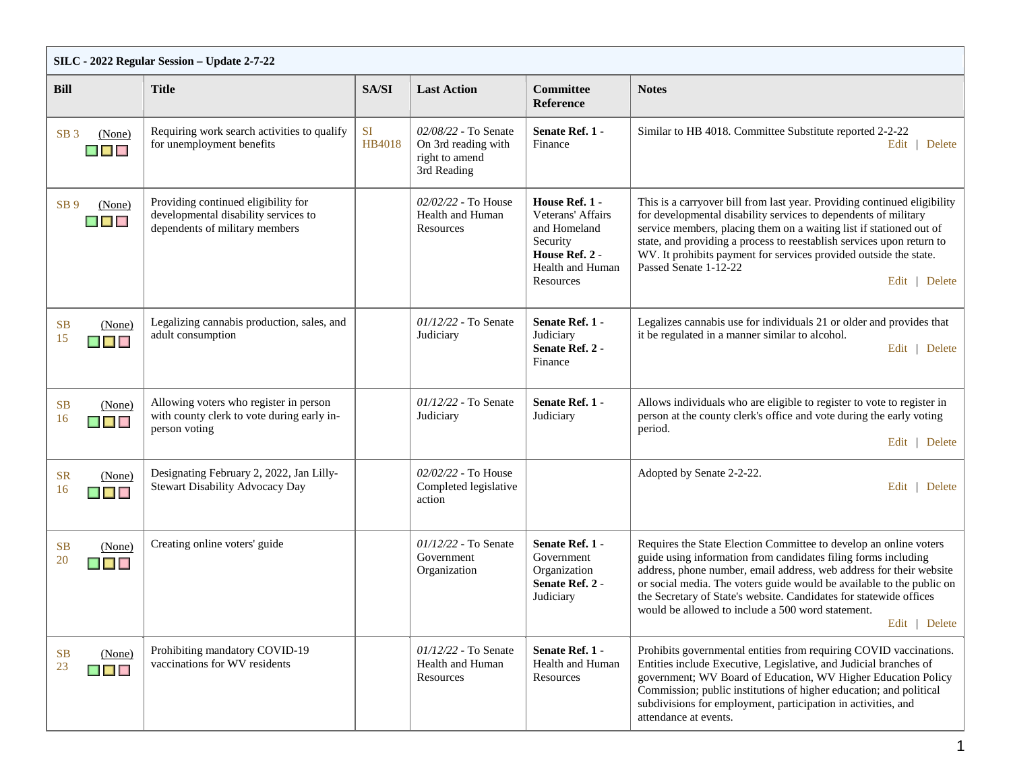| SILC - 2022 Regular Session - Update 2-7-22                |                                                                                                               |              |                                                                              |                                                                                                                    |                                                                                                                                                                                                                                                                                                                                                                                                                                 |  |  |  |
|------------------------------------------------------------|---------------------------------------------------------------------------------------------------------------|--------------|------------------------------------------------------------------------------|--------------------------------------------------------------------------------------------------------------------|---------------------------------------------------------------------------------------------------------------------------------------------------------------------------------------------------------------------------------------------------------------------------------------------------------------------------------------------------------------------------------------------------------------------------------|--|--|--|
| <b>Bill</b>                                                | <b>Title</b>                                                                                                  | SA/SI        | <b>Last Action</b>                                                           | Committee<br><b>Reference</b>                                                                                      | <b>Notes</b>                                                                                                                                                                                                                                                                                                                                                                                                                    |  |  |  |
| (None)<br>SB <sub>3</sub><br>$\blacksquare$                | Requiring work search activities to qualify<br>for unemployment benefits                                      | SI<br>HB4018 | 02/08/22 - To Senate<br>On 3rd reading with<br>right to amend<br>3rd Reading | Senate Ref. 1 -<br>Finance                                                                                         | Similar to HB 4018. Committee Substitute reported 2-2-22<br>Edit   Delete                                                                                                                                                                                                                                                                                                                                                       |  |  |  |
| SB <sub>9</sub><br>(None)<br>$\blacksquare$                | Providing continued eligibility for<br>developmental disability services to<br>dependents of military members |              | 02/02/22 - To House<br>Health and Human<br>Resources                         | House Ref. 1 -<br>Veterans' Affairs<br>and Homeland<br>Security<br>House Ref. 2 -<br>Health and Human<br>Resources | This is a carryover bill from last year. Providing continued eligibility<br>for developmental disability services to dependents of military<br>service members, placing them on a waiting list if stationed out of<br>state, and providing a process to reestablish services upon return to<br>WV. It prohibits payment for services provided outside the state.<br>Passed Senate 1-12-22<br>Edit   Delete                      |  |  |  |
| <b>SB</b><br>(None)<br>15<br>▉▉                            | Legalizing cannabis production, sales, and<br>adult consumption                                               |              | $01/12/22$ - To Senate<br>Judiciary                                          | Senate Ref. 1 -<br>Judiciary<br>Senate Ref. 2 -<br>Finance                                                         | Legalizes cannabis use for individuals 21 or older and provides that<br>it be regulated in a manner similar to alcohol.<br>Edit   Delete                                                                                                                                                                                                                                                                                        |  |  |  |
| <b>SB</b><br>(None)<br>16<br>$\blacksquare$                | Allowing voters who register in person<br>with county clerk to vote during early in-<br>person voting         |              | $01/12/22$ - To Senate<br>Judiciary                                          | Senate Ref. 1 -<br>Judiciary                                                                                       | Allows individuals who are eligible to register to vote to register in<br>person at the county clerk's office and vote during the early voting<br>period.<br>Edit   Delete                                                                                                                                                                                                                                                      |  |  |  |
| <b>SR</b><br>(None)<br>16<br>$\blacksquare$                | Designating February 2, 2022, Jan Lilly-<br><b>Stewart Disability Advocacy Day</b>                            |              | 02/02/22 - To House<br>Completed legislative<br>action                       |                                                                                                                    | Adopted by Senate 2-2-22.<br>Edit   Delete                                                                                                                                                                                                                                                                                                                                                                                      |  |  |  |
| <b>SB</b><br>(None)<br>20<br>▉▉                            | Creating online voters' guide                                                                                 |              | $01/12/22$ - To Senate<br>Government<br>Organization                         | Senate Ref. 1 -<br>Government<br>Organization<br>Senate Ref. 2 -<br>Judiciary                                      | Requires the State Election Committee to develop an online voters<br>guide using information from candidates filing forms including<br>address, phone number, email address, web address for their website<br>or social media. The voters guide would be available to the public on<br>the Secretary of State's website. Candidates for statewide offices<br>would be allowed to include a 500 word statement.<br>Edit   Delete |  |  |  |
| <b>SB</b><br>(None)<br>23<br>$\blacksquare$ $\blacksquare$ | Prohibiting mandatory COVID-19<br>vaccinations for WV residents                                               |              | $01/12/22$ - To Senate<br>Health and Human<br>Resources                      | Senate Ref. 1 -<br>Health and Human<br>Resources                                                                   | Prohibits governmental entities from requiring COVID vaccinations.<br>Entities include Executive, Legislative, and Judicial branches of<br>government; WV Board of Education, WV Higher Education Policy<br>Commission; public institutions of higher education; and political<br>subdivisions for employment, participation in activities, and<br>attendance at events.                                                        |  |  |  |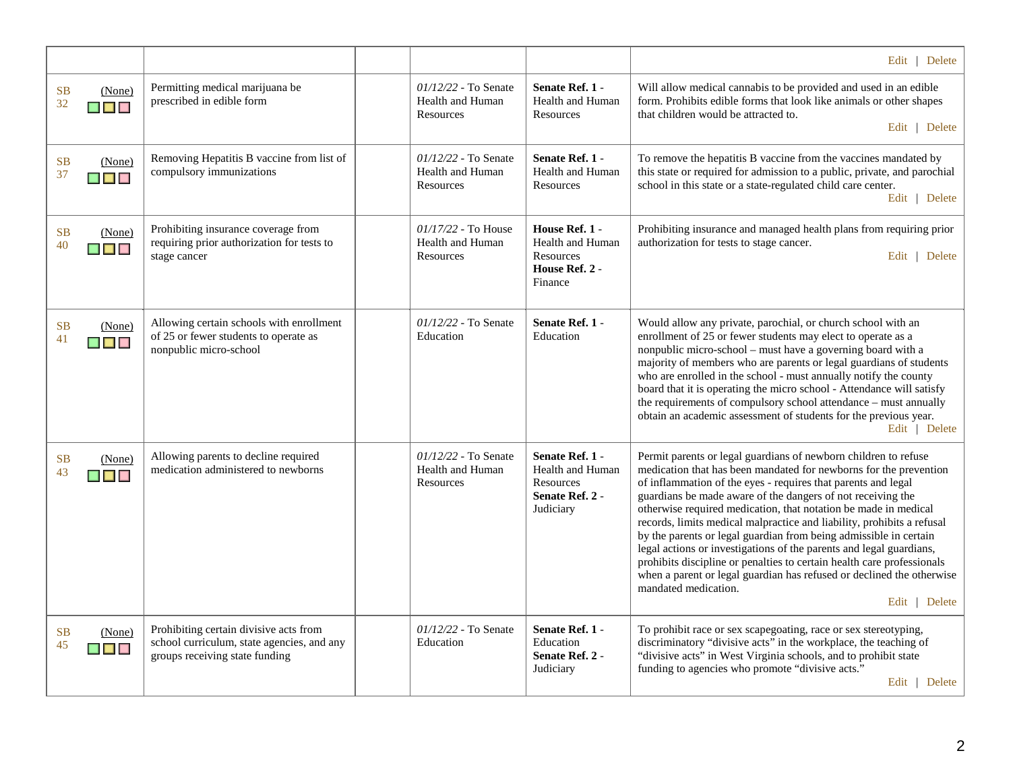|                                                                           |                                                                                                                        |                                                              |                                                                                         | Edit   Delete                                                                                                                                                                                                                                                                                                                                                                                                                                                                                                                                                                                                                                                                                                                                             |
|---------------------------------------------------------------------------|------------------------------------------------------------------------------------------------------------------------|--------------------------------------------------------------|-----------------------------------------------------------------------------------------|-----------------------------------------------------------------------------------------------------------------------------------------------------------------------------------------------------------------------------------------------------------------------------------------------------------------------------------------------------------------------------------------------------------------------------------------------------------------------------------------------------------------------------------------------------------------------------------------------------------------------------------------------------------------------------------------------------------------------------------------------------------|
| <b>SB</b><br>(None)<br>32<br><b>B B</b>                                   | Permitting medical marijuana be<br>prescribed in edible form                                                           | 01/12/22 - To Senate<br><b>Health and Human</b><br>Resources | Senate Ref. 1 -<br><b>Health and Human</b><br>Resources                                 | Will allow medical cannabis to be provided and used in an edible<br>form. Prohibits edible forms that look like animals or other shapes<br>that children would be attracted to.<br>Edit   Delete                                                                                                                                                                                                                                                                                                                                                                                                                                                                                                                                                          |
| <b>SB</b><br>(None)<br>37<br>$\blacksquare$ $\blacksquare$ $\blacksquare$ | Removing Hepatitis B vaccine from list of<br>compulsory immunizations                                                  | 01/12/22 - To Senate<br><b>Health and Human</b><br>Resources | Senate Ref. 1 -<br><b>Health and Human</b><br>Resources                                 | To remove the hepatitis B vaccine from the vaccines mandated by<br>this state or required for admission to a public, private, and parochial<br>school in this state or a state-regulated child care center.<br>Edit   Delete                                                                                                                                                                                                                                                                                                                                                                                                                                                                                                                              |
| <b>SB</b><br>(None)<br><b>MAG</b>                                         | Prohibiting insurance coverage from<br>requiring prior authorization for tests to<br>stage cancer                      | 01/17/22 - To House<br><b>Health and Human</b><br>Resources  | House Ref. 1 -<br><b>Health and Human</b><br>Resources<br>House Ref. 2 -<br>Finance     | Prohibiting insurance and managed health plans from requiring prior<br>authorization for tests to stage cancer.<br>Edit   Delete                                                                                                                                                                                                                                                                                                                                                                                                                                                                                                                                                                                                                          |
| <b>SB</b><br>(None)<br>41<br>$\blacksquare$ $\blacksquare$                | Allowing certain schools with enrollment<br>of 25 or fewer students to operate as<br>nonpublic micro-school            | $01/12/22$ - To Senate<br>Education                          | Senate Ref. 1 -<br>Education                                                            | Would allow any private, parochial, or church school with an<br>enrollment of 25 or fewer students may elect to operate as a<br>nonpublic micro-school – must have a governing board with a<br>majority of members who are parents or legal guardians of students<br>who are enrolled in the school - must annually notify the county<br>board that it is operating the micro school - Attendance will satisfy<br>the requirements of compulsory school attendance - must annually<br>obtain an academic assessment of students for the previous year.<br>Edit   Delete                                                                                                                                                                                   |
| <b>SB</b><br>(None)<br>▉▊▊                                                | Allowing parents to decline required<br>medication administered to newborns                                            | 01/12/22 - To Senate<br>Health and Human<br>Resources        | Senate Ref. 1 -<br><b>Health and Human</b><br>Resources<br>Senate Ref. 2 -<br>Judiciary | Permit parents or legal guardians of newborn children to refuse<br>medication that has been mandated for newborns for the prevention<br>of inflammation of the eyes - requires that parents and legal<br>guardians be made aware of the dangers of not receiving the<br>otherwise required medication, that notation be made in medical<br>records, limits medical malpractice and liability, prohibits a refusal<br>by the parents or legal guardian from being admissible in certain<br>legal actions or investigations of the parents and legal guardians,<br>prohibits discipline or penalties to certain health care professionals<br>when a parent or legal guardian has refused or declined the otherwise<br>mandated medication.<br>Edit   Delete |
| (None)<br>$\blacksquare$                                                  | Prohibiting certain divisive acts from<br>school curriculum, state agencies, and any<br>groups receiving state funding | 01/12/22 - To Senate<br>Education                            | Senate Ref. 1 -<br>Education<br>Senate Ref. 2 -<br>Judiciary                            | To prohibit race or sex scapegoating, race or sex stereotyping,<br>discriminatory "divisive acts" in the workplace, the teaching of<br>"divisive acts" in West Virginia schools, and to prohibit state<br>funding to agencies who promote "divisive acts."<br>Edit   Delete                                                                                                                                                                                                                                                                                                                                                                                                                                                                               |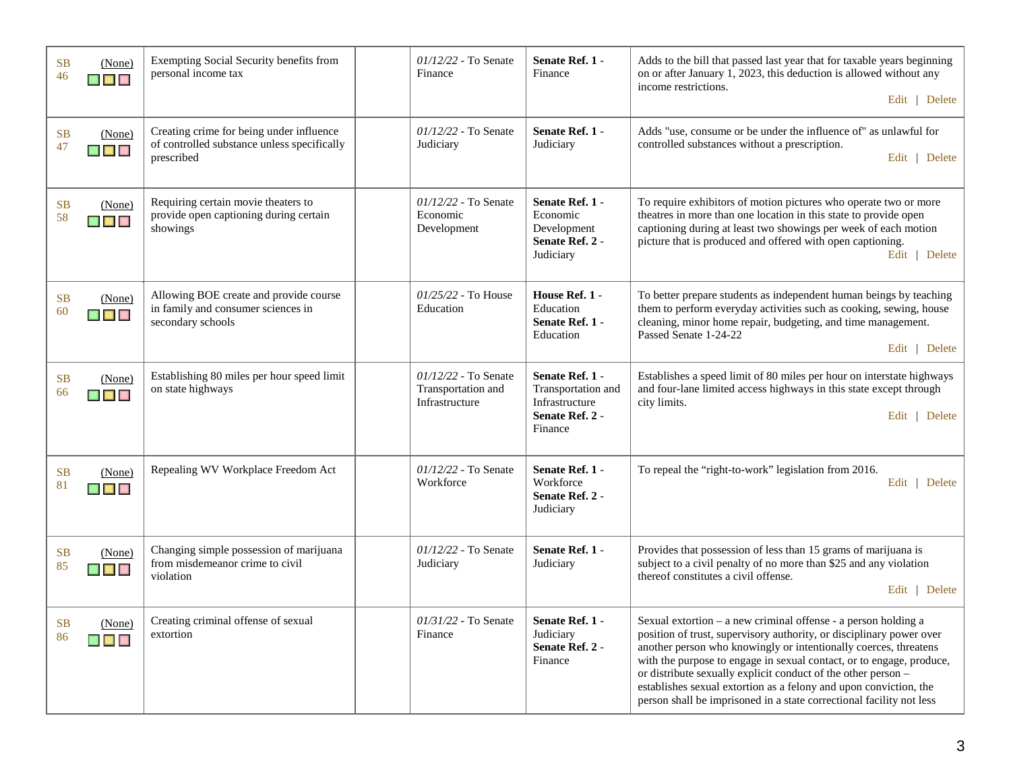| <b>SB</b><br>46 | (None)<br>▉▉▉                                          | Exempting Social Security benefits from<br>personal income tax                                        | $01/12/22$ - To Senate<br>Finance                              | Senate Ref. 1 -<br>Finance                                                            | Adds to the bill that passed last year that for taxable years beginning<br>on or after January 1, 2023, this deduction is allowed without any<br>income restrictions.<br>Edit   Delete                                                                                                                                                                                                                                                                                                           |
|-----------------|--------------------------------------------------------|-------------------------------------------------------------------------------------------------------|----------------------------------------------------------------|---------------------------------------------------------------------------------------|--------------------------------------------------------------------------------------------------------------------------------------------------------------------------------------------------------------------------------------------------------------------------------------------------------------------------------------------------------------------------------------------------------------------------------------------------------------------------------------------------|
| <b>SB</b><br>47 | (None)<br>▆▆▆                                          | Creating crime for being under influence<br>of controlled substance unless specifically<br>prescribed | $01/12/22$ - To Senate<br>Judiciary                            | Senate Ref. 1 -<br>Judiciary                                                          | Adds "use, consume or be under the influence of" as unlawful for<br>controlled substances without a prescription.<br>Edit   Delete                                                                                                                                                                                                                                                                                                                                                               |
| <b>SB</b><br>58 | (None)<br>████                                         | Requiring certain movie theaters to<br>provide open captioning during certain<br>showings             | $01/12/22$ - To Senate<br>Economic<br>Development              | Senate Ref. 1 -<br>Economic<br>Development<br>Senate Ref. 2 -<br>Judiciary            | To require exhibitors of motion pictures who operate two or more<br>theatres in more than one location in this state to provide open<br>captioning during at least two showings per week of each motion<br>picture that is produced and offered with open captioning.<br>Edit   Delete                                                                                                                                                                                                           |
| <b>SB</b><br>60 | (None)<br>$\blacksquare$ $\blacksquare$ $\blacksquare$ | Allowing BOE create and provide course<br>in family and consumer sciences in<br>secondary schools     | $01/25/22$ - To House<br>Education                             | House Ref. 1 -<br>Education<br>Senate Ref. 1 -<br>Education                           | To better prepare students as independent human beings by teaching<br>them to perform everyday activities such as cooking, sewing, house<br>cleaning, minor home repair, budgeting, and time management.<br>Passed Senate 1-24-22<br>Edit   Delete                                                                                                                                                                                                                                               |
| <b>SB</b><br>66 | (None)<br><b>MAG</b>                                   | Establishing 80 miles per hour speed limit<br>on state highways                                       | $01/12/22$ - To Senate<br>Transportation and<br>Infrastructure | Senate Ref. 1 -<br>Transportation and<br>Infrastructure<br>Senate Ref. 2 -<br>Finance | Establishes a speed limit of 80 miles per hour on interstate highways<br>and four-lane limited access highways in this state except through<br>city limits.<br>Edit   Delete                                                                                                                                                                                                                                                                                                                     |
| <b>SB</b><br>81 | (None)<br><b>The Contract Service</b>                  | Repealing WV Workplace Freedom Act                                                                    | $01/12/22$ - To Senate<br>Workforce                            | Senate Ref. 1 -<br>Workforce<br>Senate Ref. 2 -<br>Judiciary                          | To repeal the "right-to-work" legislation from 2016.<br>Edit  <br>Delete                                                                                                                                                                                                                                                                                                                                                                                                                         |
| <b>SB</b><br>85 | (None)<br><b>MARINA</b>                                | Changing simple possession of marijuana<br>from misdemeanor crime to civil<br>violation               | $01/12/22$ - To Senate<br>Judiciary                            | Senate Ref. 1 -<br>Judiciary                                                          | Provides that possession of less than 15 grams of marijuana is<br>subject to a civil penalty of no more than \$25 and any violation<br>thereof constitutes a civil offense.<br>Edit  <br>Delete                                                                                                                                                                                                                                                                                                  |
| <b>SB</b><br>86 | (None)<br>$\blacksquare$                               | Creating criminal offense of sexual<br>extortion                                                      | $01/31/22$ - To Senate<br>Finance                              | Senate Ref. 1 -<br>Judiciary<br>Senate Ref. 2 -<br>Finance                            | Sexual extortion - a new criminal offense - a person holding a<br>position of trust, supervisory authority, or disciplinary power over<br>another person who knowingly or intentionally coerces, threatens<br>with the purpose to engage in sexual contact, or to engage, produce,<br>or distribute sexually explicit conduct of the other person -<br>establishes sexual extortion as a felony and upon conviction, the<br>person shall be imprisoned in a state correctional facility not less |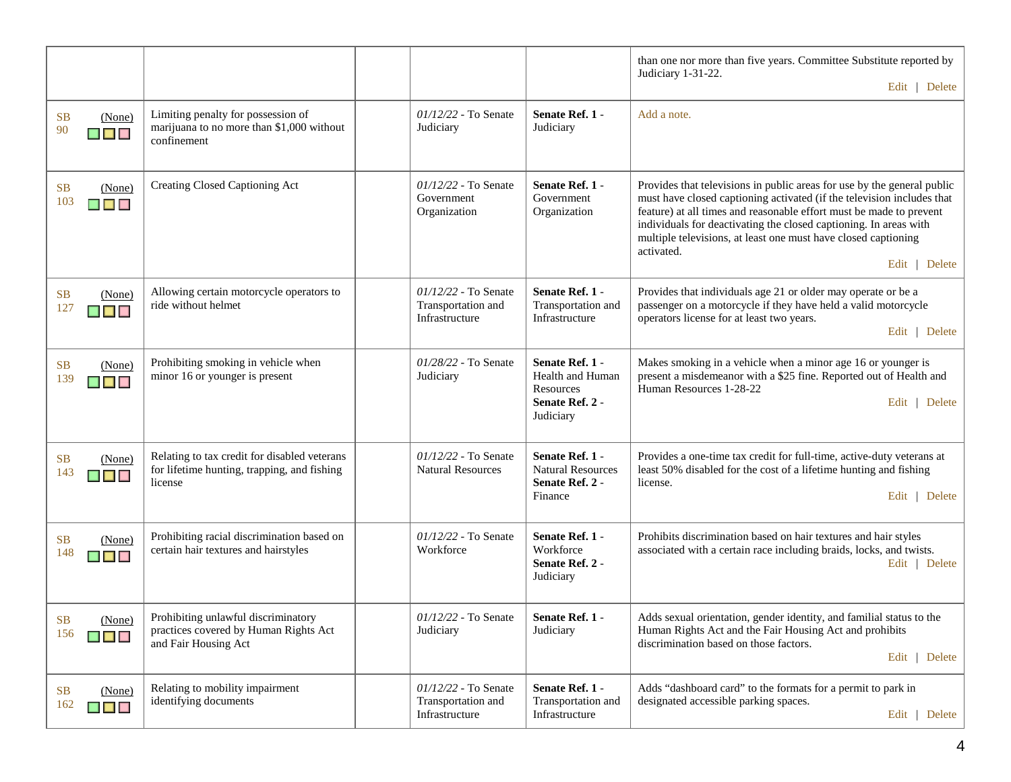|                                                   |                                                                                                        |                                                                |                                                                                  | than one nor more than five years. Committee Substitute reported by<br>Judiciary 1-31-22.<br>Edit   Delete                                                                                                                                                                                                                                                                                     |
|---------------------------------------------------|--------------------------------------------------------------------------------------------------------|----------------------------------------------------------------|----------------------------------------------------------------------------------|------------------------------------------------------------------------------------------------------------------------------------------------------------------------------------------------------------------------------------------------------------------------------------------------------------------------------------------------------------------------------------------------|
| SB<br>(None)<br>90<br>$\blacksquare$              | Limiting penalty for possession of<br>marijuana to no more than \$1,000 without<br>confinement         | 01/12/22 - To Senate<br>Judiciary                              | Senate Ref. 1 -<br>Judiciary                                                     | Add a note.                                                                                                                                                                                                                                                                                                                                                                                    |
| <b>SB</b><br>(None)<br>103<br>▉▉▉                 | Creating Closed Captioning Act                                                                         | $01/12/22$ - To Senate<br>Government<br>Organization           | Senate Ref. 1 -<br>Government<br>Organization                                    | Provides that televisions in public areas for use by the general public<br>must have closed captioning activated (if the television includes that<br>feature) at all times and reasonable effort must be made to prevent<br>individuals for deactivating the closed captioning. In areas with<br>multiple televisions, at least one must have closed captioning<br>activated.<br>Edit   Delete |
| <b>SB</b><br>(None)<br>127                        | Allowing certain motorcycle operators to<br>ride without helmet                                        | 01/12/22 - To Senate<br>Transportation and<br>Infrastructure   | Senate Ref. 1 -<br>Transportation and<br>Infrastructure                          | Provides that individuals age 21 or older may operate or be a<br>passenger on a motorcycle if they have held a valid motorcycle<br>operators license for at least two years.<br>Edit   Delete                                                                                                                                                                                                  |
| <b>SB</b><br>(None)<br>139<br>$\blacksquare$      | Prohibiting smoking in vehicle when<br>minor 16 or younger is present                                  | 01/28/22 - To Senate<br>Judiciary                              | Senate Ref. 1 -<br>Health and Human<br>Resources<br>Senate Ref. 2 -<br>Judiciary | Makes smoking in a vehicle when a minor age 16 or younger is<br>present a misdemeanor with a \$25 fine. Reported out of Health and<br>Human Resources 1-28-22<br>Edit   Delete                                                                                                                                                                                                                 |
| SB<br>(None)<br>143<br>▉▉▉                        | Relating to tax credit for disabled veterans<br>for lifetime hunting, trapping, and fishing<br>license | 01/12/22 - To Senate<br><b>Natural Resources</b>               | Senate Ref. 1 -<br><b>Natural Resources</b><br>Senate Ref. 2 -<br>Finance        | Provides a one-time tax credit for full-time, active-duty veterans at<br>least 50% disabled for the cost of a lifetime hunting and fishing<br>license.<br>Edit   Delete                                                                                                                                                                                                                        |
| <b>SB</b><br>(None)<br>148<br><b>K K K</b>        | Prohibiting racial discrimination based on<br>certain hair textures and hairstyles                     | 01/12/22 - To Senate<br>Workforce                              | Senate Ref. 1 -<br>Workforce<br>Senate Ref. 2 -<br>Judiciary                     | Prohibits discrimination based on hair textures and hair styles<br>associated with a certain race including braids, locks, and twists.<br>Edit   Delete                                                                                                                                                                                                                                        |
| SB (None)<br>156<br>$\blacksquare$ $\blacksquare$ | Prohibiting unlawful discriminatory<br>practices covered by Human Rights Act<br>and Fair Housing Act   | $01/12/22$ - To Senate<br>Judiciary                            | <b>Senate Ref. 1</b><br>Judiciary                                                | Adds sexual orientation, gender identity, and familial status to the<br>Human Rights Act and the Fair Housing Act and prohibits<br>discrimination based on those factors.<br>Edit   Delete                                                                                                                                                                                                     |
| SB<br>(None)<br>162<br>$\blacksquare$             | Relating to mobility impairment<br>identifying documents                                               | $01/12/22$ - To Senate<br>Transportation and<br>Infrastructure | Senate Ref. 1 -<br>Transportation and<br>Infrastructure                          | Adds "dashboard card" to the formats for a permit to park in<br>designated accessible parking spaces.<br>Edit   Delete                                                                                                                                                                                                                                                                         |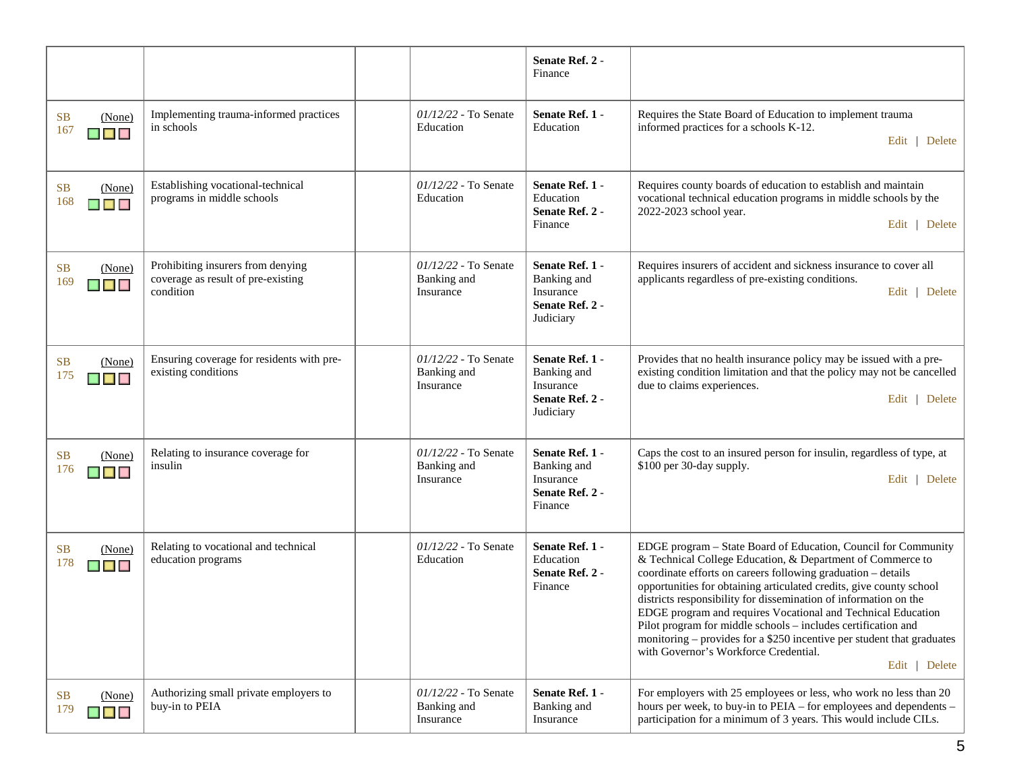|                                              |                                                                                      |                                                    | Senate Ref. 2 -<br>Finance                                                  |                                                                                                                                                                                                                                                                                                                                                                                                                                                                                                                                                                                                              |
|----------------------------------------------|--------------------------------------------------------------------------------------|----------------------------------------------------|-----------------------------------------------------------------------------|--------------------------------------------------------------------------------------------------------------------------------------------------------------------------------------------------------------------------------------------------------------------------------------------------------------------------------------------------------------------------------------------------------------------------------------------------------------------------------------------------------------------------------------------------------------------------------------------------------------|
| <b>SB</b><br>(None)<br>167<br>▉▉▉            | Implementing trauma-informed practices<br>in schools                                 | 01/12/22 - To Senate<br>Education                  | Senate Ref. 1 -<br>Education                                                | Requires the State Board of Education to implement trauma<br>informed practices for a schools K-12.<br>Edit   Delete                                                                                                                                                                                                                                                                                                                                                                                                                                                                                         |
| <b>SB</b><br>(None)<br>168<br>$\blacksquare$ | Establishing vocational-technical<br>programs in middle schools                      | $01/12/22$ - To Senate<br>Education                | Senate Ref. 1 -<br>Education<br>Senate Ref. 2 -<br>Finance                  | Requires county boards of education to establish and maintain<br>vocational technical education programs in middle schools by the<br>2022-2023 school year.<br>Edit   Delete                                                                                                                                                                                                                                                                                                                                                                                                                                 |
| <b>SB</b><br>(None)<br>169<br>$\blacksquare$ | Prohibiting insurers from denying<br>coverage as result of pre-existing<br>condition | 01/12/22 - To Senate<br>Banking and<br>Insurance   | Senate Ref. 1 -<br>Banking and<br>Insurance<br>Senate Ref. 2 -<br>Judiciary | Requires insurers of accident and sickness insurance to cover all<br>applicants regardless of pre-existing conditions.<br>Edit   Delete                                                                                                                                                                                                                                                                                                                                                                                                                                                                      |
| <b>SB</b><br>(None)<br>175<br>$\blacksquare$ | Ensuring coverage for residents with pre-<br>existing conditions                     | $01/12/22$ - To Senate<br>Banking and<br>Insurance | Senate Ref. 1 -<br>Banking and<br>Insurance<br>Senate Ref. 2 -<br>Judiciary | Provides that no health insurance policy may be issued with a pre-<br>existing condition limitation and that the policy may not be cancelled<br>due to claims experiences.<br>Edit   Delete                                                                                                                                                                                                                                                                                                                                                                                                                  |
| SB<br>(None)<br>176<br>$\blacksquare$        | Relating to insurance coverage for<br>insulin                                        | 01/12/22 - To Senate<br>Banking and<br>Insurance   | Senate Ref. 1 -<br>Banking and<br>Insurance<br>Senate Ref. 2 -<br>Finance   | Caps the cost to an insured person for insulin, regardless of type, at<br>\$100 per 30-day supply.<br>Edit   Delete                                                                                                                                                                                                                                                                                                                                                                                                                                                                                          |
| <b>SB</b><br>(None)<br>178<br>▉▉▉            | Relating to vocational and technical<br>education programs                           | 01/12/22 - To Senate<br>Education                  | Senate Ref. 1 -<br>Education<br>Senate Ref. 2 -<br>Finance                  | EDGE program - State Board of Education, Council for Community<br>& Technical College Education, & Department of Commerce to<br>coordinate efforts on careers following graduation - details<br>opportunities for obtaining articulated credits, give county school<br>districts responsibility for dissemination of information on the<br>EDGE program and requires Vocational and Technical Education<br>Pilot program for middle schools - includes certification and<br>monitoring – provides for a \$250 incentive per student that graduates<br>with Governor's Workforce Credential.<br>Edit   Delete |
| <b>SB</b><br>(None)<br>179<br>$\blacksquare$ | Authorizing small private employers to<br>buy-in to PEIA                             | $01/12/22$ - To Senate<br>Banking and<br>Insurance | Senate Ref. 1 -<br>Banking and<br>Insurance                                 | For employers with 25 employees or less, who work no less than 20<br>hours per week, to buy-in to PEIA – for employees and dependents –<br>participation for a minimum of 3 years. This would include CILs.                                                                                                                                                                                                                                                                                                                                                                                                  |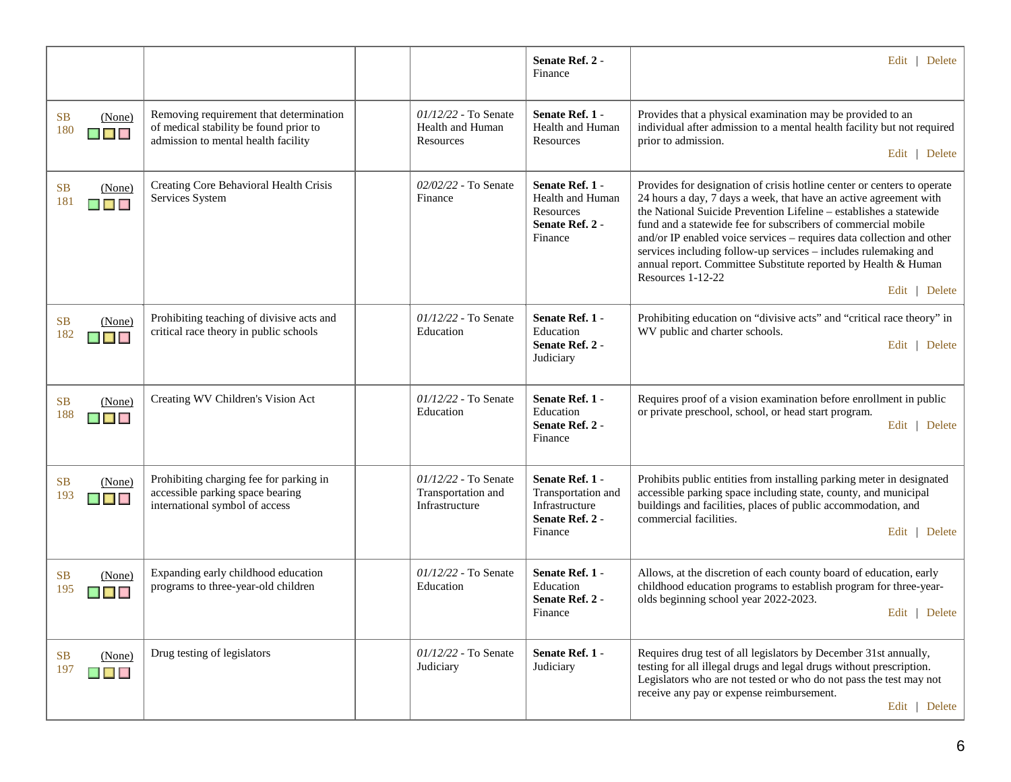|                                                                            |                                                                                                                          |                                                              | Senate Ref. 2 -<br>Finance                                                            | Edit   Delete                                                                                                                                                                                                                                                                                                                                                                                                                                                                                                                           |
|----------------------------------------------------------------------------|--------------------------------------------------------------------------------------------------------------------------|--------------------------------------------------------------|---------------------------------------------------------------------------------------|-----------------------------------------------------------------------------------------------------------------------------------------------------------------------------------------------------------------------------------------------------------------------------------------------------------------------------------------------------------------------------------------------------------------------------------------------------------------------------------------------------------------------------------------|
| <b>SB</b><br>(None)<br>180<br>n a n                                        | Removing requirement that determination<br>of medical stability be found prior to<br>admission to mental health facility | $01/12/22$ - To Senate<br>Health and Human<br>Resources      | Senate Ref. 1 -<br><b>Health and Human</b><br>Resources                               | Provides that a physical examination may be provided to an<br>individual after admission to a mental health facility but not required<br>prior to admission.<br>Edit   Delete                                                                                                                                                                                                                                                                                                                                                           |
| <b>SB</b><br>(None)<br>181<br>▉▊▊                                          | Creating Core Behavioral Health Crisis<br>Services System                                                                | 02/02/22 - To Senate<br>Finance                              | Senate Ref. 1 -<br>Health and Human<br>Resources<br>Senate Ref. 2 -<br>Finance        | Provides for designation of crisis hotline center or centers to operate<br>24 hours a day, 7 days a week, that have an active agreement with<br>the National Suicide Prevention Lifeline - establishes a statewide<br>fund and a statewide fee for subscribers of commercial mobile<br>and/or IP enabled voice services - requires data collection and other<br>services including follow-up services - includes rulemaking and<br>annual report. Committee Substitute reported by Health & Human<br>Resources 1-12-22<br>Edit   Delete |
| <b>SB</b><br>(None)<br>182<br>$\blacksquare$ $\blacksquare$ $\blacksquare$ | Prohibiting teaching of divisive acts and<br>critical race theory in public schools                                      | 01/12/22 - To Senate<br>Education                            | Senate Ref. 1 -<br>Education<br>Senate Ref. 2 -<br>Judiciary                          | Prohibiting education on "divisive acts" and "critical race theory" in<br>WV public and charter schools.<br>Edit   Delete                                                                                                                                                                                                                                                                                                                                                                                                               |
| <b>SB</b><br>(None)<br>188<br>$\blacksquare$                               | Creating WV Children's Vision Act                                                                                        | 01/12/22 - To Senate<br>Education                            | Senate Ref. 1 -<br>Education<br>Senate Ref. 2 -<br>Finance                            | Requires proof of a vision examination before enrollment in public<br>or private preschool, school, or head start program.<br>Edit   Delete                                                                                                                                                                                                                                                                                                                                                                                             |
| <b>SB</b><br>(None)<br>193<br>▉▉▉                                          | Prohibiting charging fee for parking in<br>accessible parking space bearing<br>international symbol of access            | 01/12/22 - To Senate<br>Transportation and<br>Infrastructure | Senate Ref. 1 -<br>Transportation and<br>Infrastructure<br>Senate Ref. 2 -<br>Finance | Prohibits public entities from installing parking meter in designated<br>accessible parking space including state, county, and municipal<br>buildings and facilities, places of public accommodation, and<br>commercial facilities.<br>Edit   Delete                                                                                                                                                                                                                                                                                    |
| <b>SB</b><br>(None)<br>195<br>$\blacksquare$ $\blacksquare$                | Expanding early childhood education<br>programs to three-year-old children                                               | 01/12/22 - To Senate<br>Education                            | Senate Ref. 1 -<br>Education<br>Senate Ref. 2 -<br>Finance                            | Allows, at the discretion of each county board of education, early<br>childhood education programs to establish program for three-year-<br>olds beginning school year 2022-2023.<br>Edit   Delete                                                                                                                                                                                                                                                                                                                                       |
| <b>SB</b><br>(None)<br>197<br>$\blacksquare$ $\blacksquare$                | Drug testing of legislators                                                                                              | 01/12/22 - To Senate<br>Judiciary                            | Senate Ref. 1 -<br>Judiciary                                                          | Requires drug test of all legislators by December 31st annually,<br>testing for all illegal drugs and legal drugs without prescription.<br>Legislators who are not tested or who do not pass the test may not<br>receive any pay or expense reimbursement.<br>Edit   Delete                                                                                                                                                                                                                                                             |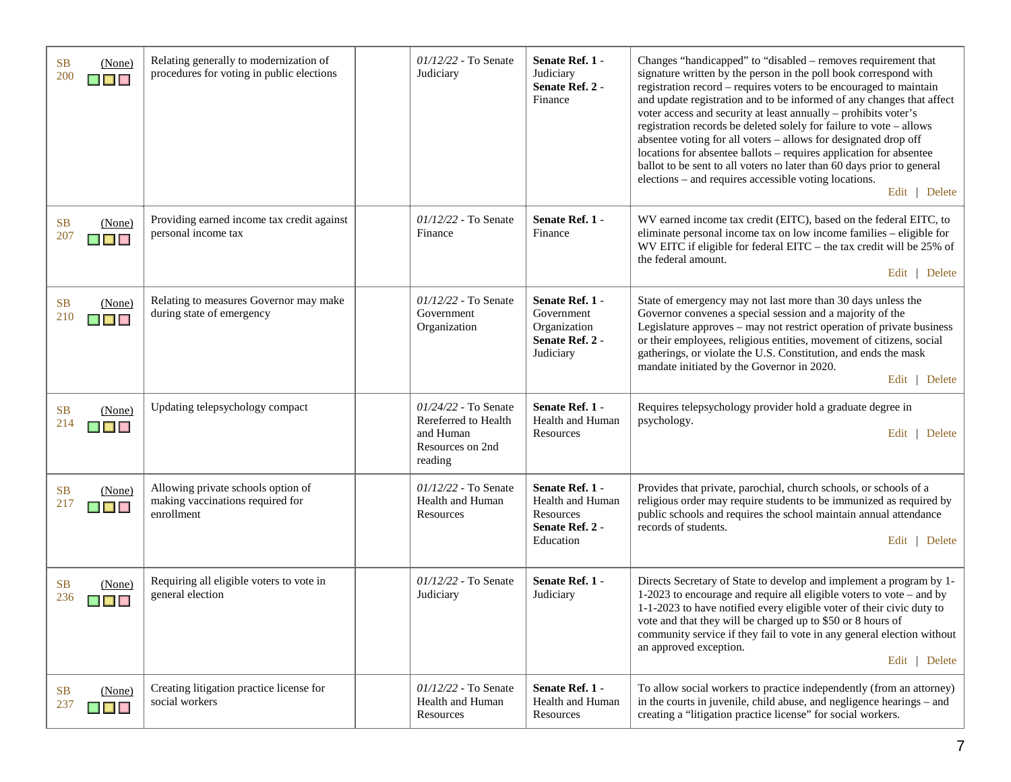| <b>SB</b><br>(None)<br>200<br>$\blacksquare$ $\blacksquare$   | Relating generally to modernization of<br>procedures for voting in public elections  | $01/12/22$ - To Senate<br>Judiciary                                                        | Senate Ref. 1 -<br>Judiciary<br>Senate Ref. 2 -<br>Finance                       | Changes "handicapped" to "disabled - removes requirement that<br>signature written by the person in the poll book correspond with<br>registration record – requires voters to be encouraged to maintain<br>and update registration and to be informed of any changes that affect<br>voter access and security at least annually - prohibits voter's<br>registration records be deleted solely for failure to vote - allows<br>absentee voting for all voters - allows for designated drop off<br>locations for absentee ballots - requires application for absentee<br>ballot to be sent to all voters no later than 60 days prior to general<br>elections - and requires accessible voting locations.<br>Edit   Delete |
|---------------------------------------------------------------|--------------------------------------------------------------------------------------|--------------------------------------------------------------------------------------------|----------------------------------------------------------------------------------|-------------------------------------------------------------------------------------------------------------------------------------------------------------------------------------------------------------------------------------------------------------------------------------------------------------------------------------------------------------------------------------------------------------------------------------------------------------------------------------------------------------------------------------------------------------------------------------------------------------------------------------------------------------------------------------------------------------------------|
| <b>SB</b><br>(None)<br>207<br><b>THE RE</b>                   | Providing earned income tax credit against<br>personal income tax                    | $01/12/22$ - To Senate<br>Finance                                                          | Senate Ref. 1 -<br>Finance                                                       | WV earned income tax credit (EITC), based on the federal EITC, to<br>eliminate personal income tax on low income families – eligible for<br>WV EITC if eligible for federal EITC - the tax credit will be 25% of<br>the federal amount.<br>Edit   Delete                                                                                                                                                                                                                                                                                                                                                                                                                                                                |
| <b>SB</b><br>(None)<br>210<br><b>THE REAL</b>                 | Relating to measures Governor may make<br>during state of emergency                  | $01/12/22$ - To Senate<br>Government<br>Organization                                       | Senate Ref. 1 -<br>Government<br>Organization<br>Senate Ref. 2 -<br>Judiciary    | State of emergency may not last more than 30 days unless the<br>Governor convenes a special session and a majority of the<br>Legislature approves - may not restrict operation of private business<br>or their employees, religious entities, movement of citizens, social<br>gatherings, or violate the U.S. Constitution, and ends the mask<br>mandate initiated by the Governor in 2020.<br>Edit   Delete                                                                                                                                                                                                                                                                                                            |
| <b>SB</b><br>(None)<br>214                                    | Updating telepsychology compact                                                      | $01/24/22$ - To Senate<br>Rereferred to Health<br>and Human<br>Resources on 2nd<br>reading | Senate Ref. 1 -<br>Health and Human<br>Resources                                 | Requires telepsychology provider hold a graduate degree in<br>psychology.<br>Edit   Delete                                                                                                                                                                                                                                                                                                                                                                                                                                                                                                                                                                                                                              |
| <b>SB</b><br>(None)<br>217                                    | Allowing private schools option of<br>making vaccinations required for<br>enrollment | 01/12/22 - To Senate<br>Health and Human<br>Resources                                      | Senate Ref. 1 -<br>Health and Human<br>Resources<br>Senate Ref. 2 -<br>Education | Provides that private, parochial, church schools, or schools of a<br>religious order may require students to be immunized as required by<br>public schools and requires the school maintain annual attendance<br>records of students.<br>Edit   Delete                                                                                                                                                                                                                                                                                                                                                                                                                                                                  |
| <b>SB</b><br>(None)<br>236<br><b>The Contract of Security</b> | Requiring all eligible voters to vote in<br>general election                         | $01/12/22$ - To Senate<br>Judiciary                                                        | Senate Ref. 1 -<br>Judiciary                                                     | Directs Secretary of State to develop and implement a program by 1-<br>1-2023 to encourage and require all eligible voters to vote – and by<br>1-1-2023 to have notified every eligible voter of their civic duty to<br>vote and that they will be charged up to \$50 or 8 hours of<br>community service if they fail to vote in any general election without<br>an approved exception.<br>Edit   Delete                                                                                                                                                                                                                                                                                                                |
| (None)<br>SB.<br>237<br>$\blacksquare$                        | Creating litigation practice license for<br>social workers                           | $01/12/22$ - To Senate<br>Health and Human<br>Resources                                    | Senate Ref. 1 -<br>Health and Human<br>Resources                                 | To allow social workers to practice independently (from an attorney)<br>in the courts in juvenile, child abuse, and negligence hearings – and<br>creating a "litigation practice license" for social workers.                                                                                                                                                                                                                                                                                                                                                                                                                                                                                                           |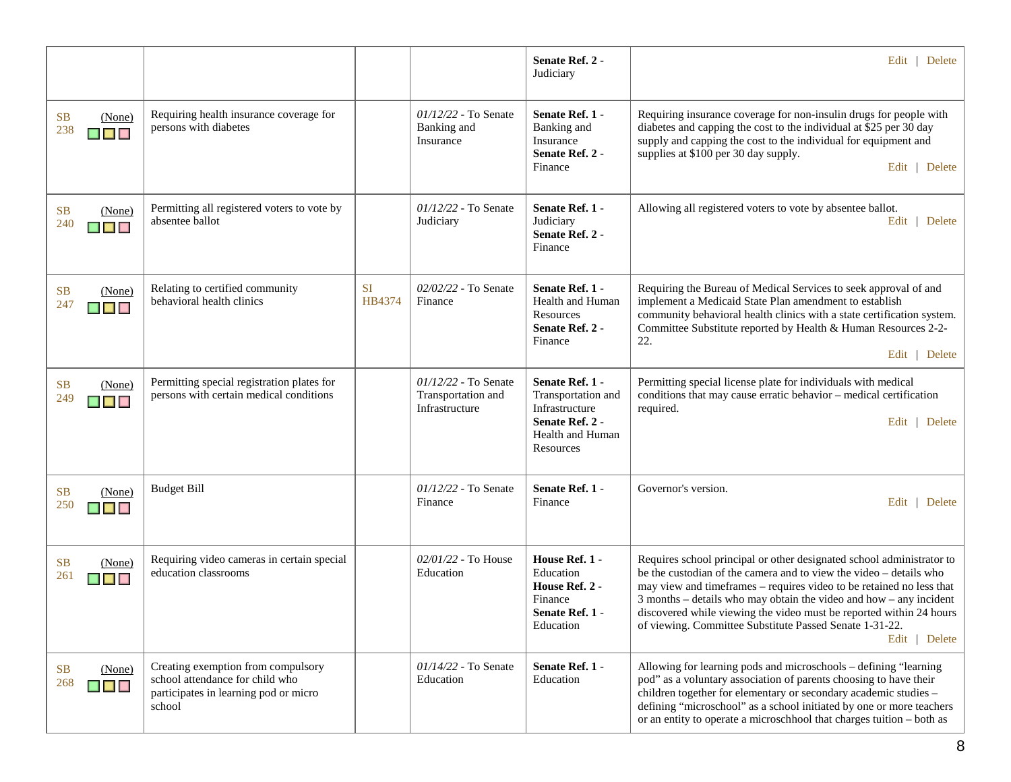|                                              |                                                                                                                          |                     |                                                                | Senate Ref. 2 -<br>Judiciary                                                                                | Edit   Delete                                                                                                                                                                                                                                                                                                                                                                                                                                  |
|----------------------------------------------|--------------------------------------------------------------------------------------------------------------------------|---------------------|----------------------------------------------------------------|-------------------------------------------------------------------------------------------------------------|------------------------------------------------------------------------------------------------------------------------------------------------------------------------------------------------------------------------------------------------------------------------------------------------------------------------------------------------------------------------------------------------------------------------------------------------|
| SB<br>(None)<br>238<br>$\blacksquare$        | Requiring health insurance coverage for<br>persons with diabetes                                                         |                     | $01/12/22$ - To Senate<br>Banking and<br>Insurance             | Senate Ref. 1 -<br>Banking and<br>Insurance<br>Senate Ref. 2 -<br>Finance                                   | Requiring insurance coverage for non-insulin drugs for people with<br>diabetes and capping the cost to the individual at \$25 per 30 day<br>supply and capping the cost to the individual for equipment and<br>supplies at \$100 per 30 day supply.<br>Edit   Delete                                                                                                                                                                           |
| SB<br>(None)<br>240<br>$\blacksquare$        | Permitting all registered voters to vote by<br>absentee ballot                                                           |                     | $01/12/22$ - To Senate<br>Judiciary                            | Senate Ref. 1 -<br>Judiciary<br>Senate Ref. 2 -<br>Finance                                                  | Allowing all registered voters to vote by absentee ballot.<br>Edit   Delete                                                                                                                                                                                                                                                                                                                                                                    |
| SB<br>(None)<br>247<br>$\blacksquare$        | Relating to certified community<br>behavioral health clinics                                                             | <b>SI</b><br>HB4374 | 02/02/22 - To Senate<br>Finance                                | Senate Ref. 1 -<br>Health and Human<br>Resources<br>Senate Ref. 2 -<br>Finance                              | Requiring the Bureau of Medical Services to seek approval of and<br>implement a Medicaid State Plan amendment to establish<br>community behavioral health clinics with a state certification system.<br>Committee Substitute reported by Health & Human Resources 2-2-<br>22.<br>Edit   Delete                                                                                                                                                 |
| SB<br>(None)<br>249<br>$\blacksquare$        | Permitting special registration plates for<br>persons with certain medical conditions                                    |                     | $01/12/22$ - To Senate<br>Transportation and<br>Infrastructure | Senate Ref. 1 -<br>Transportation and<br>Infrastructure<br>Senate Ref. 2 -<br>Health and Human<br>Resources | Permitting special license plate for individuals with medical<br>conditions that may cause erratic behavior - medical certification<br>required.<br>Edit   Delete                                                                                                                                                                                                                                                                              |
| <b>SB</b><br>(None)<br>250<br>$\blacksquare$ | <b>Budget Bill</b>                                                                                                       |                     | $01/12/22$ - To Senate<br>Finance                              | Senate Ref. 1 -<br>Finance                                                                                  | Governor's version.<br>Edit   Delete                                                                                                                                                                                                                                                                                                                                                                                                           |
| SB<br>(None)<br>261<br>$\blacksquare$        | Requiring video cameras in certain special<br>education classrooms                                                       |                     | $02/01/22$ - To House<br>Education                             | House Ref. 1 -<br>Education<br>House Ref. 2 -<br>Finance<br>Senate Ref. 1 -<br>Education                    | Requires school principal or other designated school administrator to<br>be the custodian of the camera and to view the video - details who<br>may view and timeframes - requires video to be retained no less that<br>$3$ months – details who may obtain the video and how – any incident<br>discovered while viewing the video must be reported within 24 hours<br>of viewing. Committee Substitute Passed Senate 1-31-22.<br>Edit   Delete |
| SB<br>(None)<br>268<br>▉▉▉                   | Creating exemption from compulsory<br>school attendance for child who<br>participates in learning pod or micro<br>school |                     | $01/14/22$ - To Senate<br>Education                            | Senate Ref. 1 -<br>Education                                                                                | Allowing for learning pods and microschools - defining "learning<br>pod" as a voluntary association of parents choosing to have their<br>children together for elementary or secondary academic studies -<br>defining "microschool" as a school initiated by one or more teachers<br>or an entity to operate a microschhool that charges tuition - both as                                                                                     |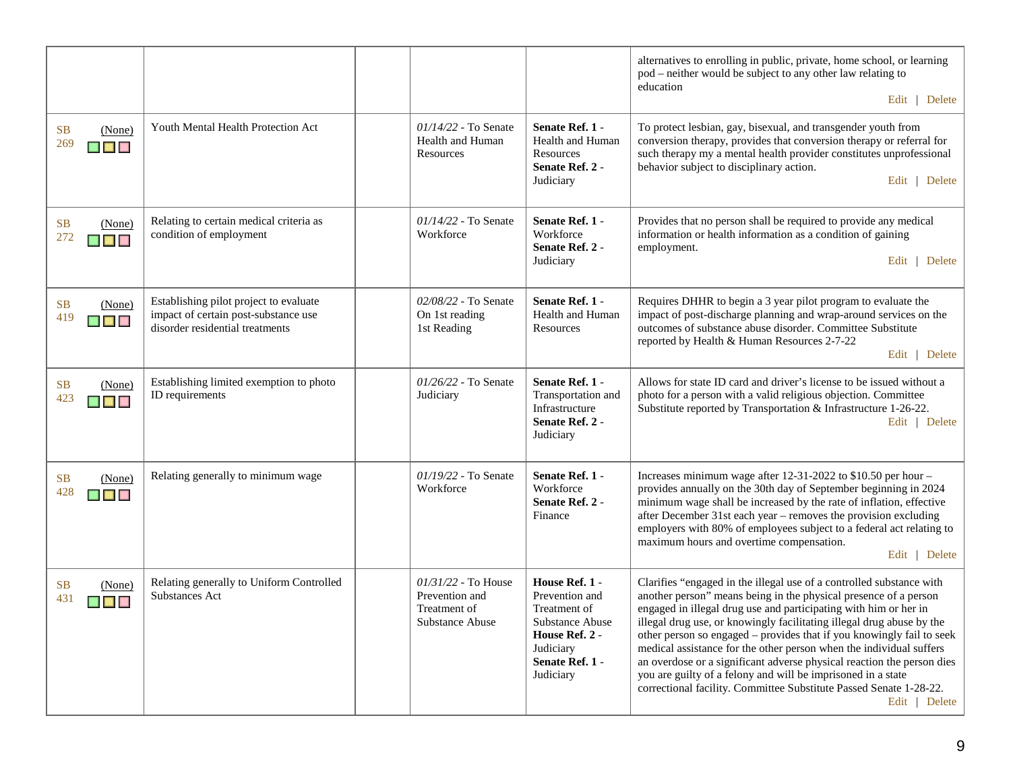|                                                                            |                                                                                                                   |                                                                            |                                                                                                                                    | alternatives to enrolling in public, private, home school, or learning<br>pod – neither would be subject to any other law relating to<br>education<br>Edit   Delete                                                                                                                                                                                                                                                                                                                                                                                                                                                                                                    |
|----------------------------------------------------------------------------|-------------------------------------------------------------------------------------------------------------------|----------------------------------------------------------------------------|------------------------------------------------------------------------------------------------------------------------------------|------------------------------------------------------------------------------------------------------------------------------------------------------------------------------------------------------------------------------------------------------------------------------------------------------------------------------------------------------------------------------------------------------------------------------------------------------------------------------------------------------------------------------------------------------------------------------------------------------------------------------------------------------------------------|
| <b>SB</b><br>(None)<br>269<br>$\blacksquare$                               | Youth Mental Health Protection Act                                                                                | 01/14/22 - To Senate<br>Health and Human<br>Resources                      | Senate Ref. 1 -<br>Health and Human<br>Resources<br>Senate Ref. 2 -<br>Judiciary                                                   | To protect lesbian, gay, bisexual, and transgender youth from<br>conversion therapy, provides that conversion therapy or referral for<br>such therapy my a mental health provider constitutes unprofessional<br>behavior subject to disciplinary action.<br>Edit   Delete                                                                                                                                                                                                                                                                                                                                                                                              |
| <b>SB</b><br>(None)<br>272<br>$\blacksquare$ $\blacksquare$ $\blacksquare$ | Relating to certain medical criteria as<br>condition of employment                                                | 01/14/22 - To Senate<br>Workforce                                          | Senate Ref. 1 -<br>Workforce<br>Senate Ref. 2 -<br>Judiciary                                                                       | Provides that no person shall be required to provide any medical<br>information or health information as a condition of gaining<br>employment.<br>Edit   Delete                                                                                                                                                                                                                                                                                                                                                                                                                                                                                                        |
| <b>SB</b><br>(None)<br>419<br>$\blacksquare$                               | Establishing pilot project to evaluate<br>impact of certain post-substance use<br>disorder residential treatments | 02/08/22 - To Senate<br>On 1st reading<br>1st Reading                      | Senate Ref. 1 -<br>Health and Human<br>Resources                                                                                   | Requires DHHR to begin a 3 year pilot program to evaluate the<br>impact of post-discharge planning and wrap-around services on the<br>outcomes of substance abuse disorder. Committee Substitute<br>reported by Health & Human Resources 2-7-22<br>Edit   Delete                                                                                                                                                                                                                                                                                                                                                                                                       |
| <b>SB</b><br>(None)<br>423<br><b>MARINA</b>                                | Establishing limited exemption to photo<br>ID requirements                                                        | 01/26/22 - To Senate<br>Judiciary                                          | Senate Ref. 1 -<br>Transportation and<br>Infrastructure<br>Senate Ref. 2 -<br>Judiciary                                            | Allows for state ID card and driver's license to be issued without a<br>photo for a person with a valid religious objection. Committee<br>Substitute reported by Transportation & Infrastructure 1-26-22.<br>Edit   Delete                                                                                                                                                                                                                                                                                                                                                                                                                                             |
| <b>SB</b><br>(None)<br>428<br><b>NET KA</b>                                | Relating generally to minimum wage                                                                                | 01/19/22 - To Senate<br>Workforce                                          | Senate Ref. 1 -<br>Workforce<br>Senate Ref. 2 -<br>Finance                                                                         | Increases minimum wage after 12-31-2022 to \$10.50 per hour -<br>provides annually on the 30th day of September beginning in 2024<br>minimum wage shall be increased by the rate of inflation, effective<br>after December 31st each year – removes the provision excluding<br>employers with 80% of employees subject to a federal act relating to<br>maximum hours and overtime compensation.<br>Edit   Delete                                                                                                                                                                                                                                                       |
| <b>SB</b><br>(None)<br>431                                                 | Relating generally to Uniform Controlled<br>Substances Act                                                        | $01/31/22$ - To House<br>Prevention and<br>Treatment of<br>Substance Abuse | House Ref. 1 -<br>Prevention and<br>Treatment of<br>Substance Abuse<br>House Ref. 2 -<br>Judiciary<br>Senate Ref. 1 -<br>Judiciary | Clarifies "engaged in the illegal use of a controlled substance with<br>another person" means being in the physical presence of a person<br>engaged in illegal drug use and participating with him or her in<br>illegal drug use, or knowingly facilitating illegal drug abuse by the<br>other person so engaged - provides that if you knowingly fail to seek<br>medical assistance for the other person when the individual suffers<br>an overdose or a significant adverse physical reaction the person dies<br>you are guilty of a felony and will be imprisoned in a state<br>correctional facility. Committee Substitute Passed Senate 1-28-22.<br>Edit   Delete |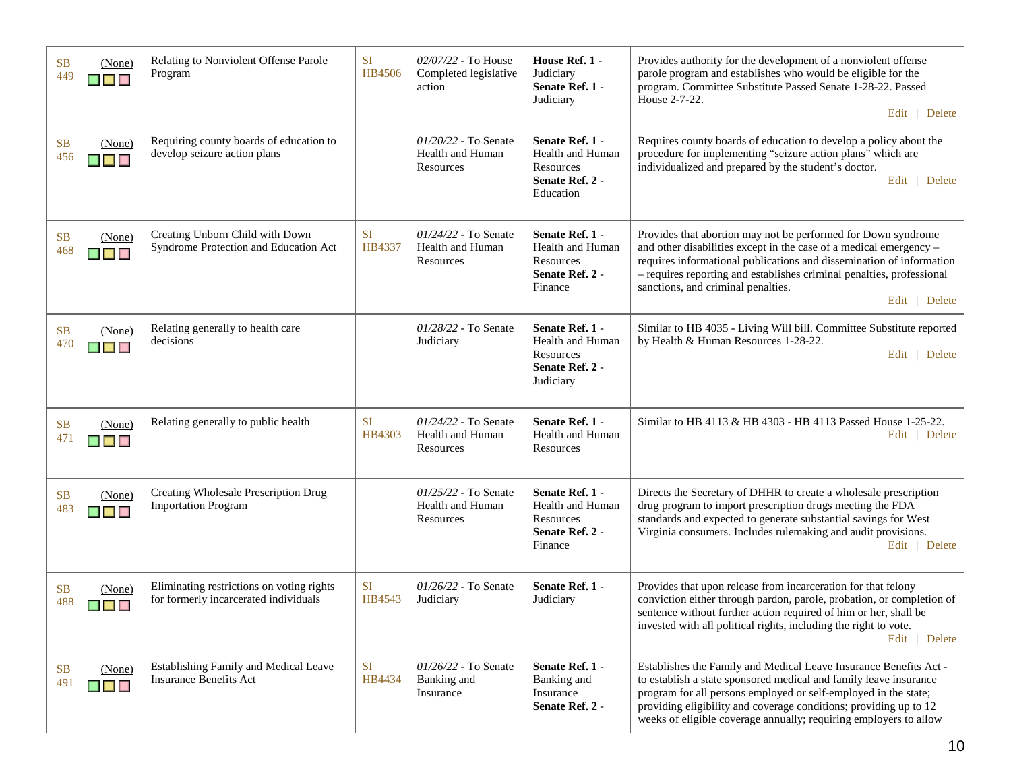| <b>SB</b><br>449 | (None)<br>$\blacksquare$                               | Relating to Nonviolent Offense Parole<br>Program                                   | <b>SI</b><br>HB4506 | 02/07/22 - To House<br>Completed legislative<br>action  | House Ref. 1 -<br>Judiciary<br>Senate Ref. 1 -<br>Judiciary                      | Provides authority for the development of a nonviolent offense<br>parole program and establishes who would be eligible for the<br>program. Committee Substitute Passed Senate 1-28-22. Passed<br>House 2-7-22.<br>Edit   Delete                                                                                                                     |
|------------------|--------------------------------------------------------|------------------------------------------------------------------------------------|---------------------|---------------------------------------------------------|----------------------------------------------------------------------------------|-----------------------------------------------------------------------------------------------------------------------------------------------------------------------------------------------------------------------------------------------------------------------------------------------------------------------------------------------------|
| <b>SB</b><br>456 | (None)<br>▉▉▉                                          | Requiring county boards of education to<br>develop seizure action plans            |                     | 01/20/22 - To Senate<br>Health and Human<br>Resources   | Senate Ref. 1 -<br>Health and Human<br>Resources<br>Senate Ref. 2 -<br>Education | Requires county boards of education to develop a policy about the<br>procedure for implementing "seizure action plans" which are<br>individualized and prepared by the student's doctor.<br>Edit   Delete                                                                                                                                           |
| <b>SB</b><br>468 | (None)<br>$\blacksquare$ $\blacksquare$ $\blacksquare$ | Creating Unborn Child with Down<br>Syndrome Protection and Education Act           | <b>SI</b><br>HB4337 | $01/24/22$ - To Senate<br>Health and Human<br>Resources | Senate Ref. 1 -<br>Health and Human<br>Resources<br>Senate Ref. 2 -<br>Finance   | Provides that abortion may not be performed for Down syndrome<br>and other disabilities except in the case of a medical emergency -<br>requires informational publications and dissemination of information<br>- requires reporting and establishes criminal penalties, professional<br>sanctions, and criminal penalties.<br>Edit   Delete         |
| <b>SB</b><br>470 | (None)<br>$\blacksquare$ $\blacksquare$                | Relating generally to health care<br>decisions                                     |                     | 01/28/22 - To Senate<br>Judiciary                       | Senate Ref. 1 -<br>Health and Human<br>Resources<br>Senate Ref. 2 -<br>Judiciary | Similar to HB 4035 - Living Will bill. Committee Substitute reported<br>by Health & Human Resources 1-28-22.<br>Edit   Delete                                                                                                                                                                                                                       |
| <b>SB</b><br>471 | (None)<br>$\blacksquare$ $\blacksquare$                | Relating generally to public health                                                | <b>SI</b><br>HB4303 | $01/24/22$ - To Senate<br>Health and Human<br>Resources | Senate Ref. 1 -<br>Health and Human<br>Resources                                 | Similar to HB 4113 & HB 4303 - HB 4113 Passed House 1-25-22.<br>Edit   Delete                                                                                                                                                                                                                                                                       |
| <b>SB</b><br>483 | (None)<br><b>MARINA</b>                                | Creating Wholesale Prescription Drug<br><b>Importation Program</b>                 |                     | 01/25/22 - To Senate<br>Health and Human<br>Resources   | Senate Ref. 1 -<br>Health and Human<br>Resources<br>Senate Ref. 2 -<br>Finance   | Directs the Secretary of DHHR to create a wholesale prescription<br>drug program to import prescription drugs meeting the FDA<br>standards and expected to generate substantial savings for West<br>Virginia consumers. Includes rulemaking and audit provisions.<br>Edit   Delete                                                                  |
| <b>SB</b><br>488 | (None)<br>$\blacksquare$                               | Eliminating restrictions on voting rights<br>for formerly incarcerated individuals | <b>SI</b><br>HB4543 | 01/26/22 - To Senate<br>Judiciary                       | Senate Ref. 1 -<br>Judiciary                                                     | Provides that upon release from incarceration for that felony<br>conviction either through pardon, parole, probation, or completion of<br>sentence without further action required of him or her, shall be<br>invested with all political rights, including the right to vote.<br>Edit   Delete                                                     |
| <b>SB</b><br>491 | (None)<br>▉▉▉                                          | Establishing Family and Medical Leave<br><b>Insurance Benefits Act</b>             | <b>SI</b><br>HB4434 | 01/26/22 - To Senate<br>Banking and<br>Insurance        | Senate Ref. 1 -<br>Banking and<br>Insurance<br>Senate Ref. 2 -                   | Establishes the Family and Medical Leave Insurance Benefits Act -<br>to establish a state sponsored medical and family leave insurance<br>program for all persons employed or self-employed in the state;<br>providing eligibility and coverage conditions; providing up to 12<br>weeks of eligible coverage annually; requiring employers to allow |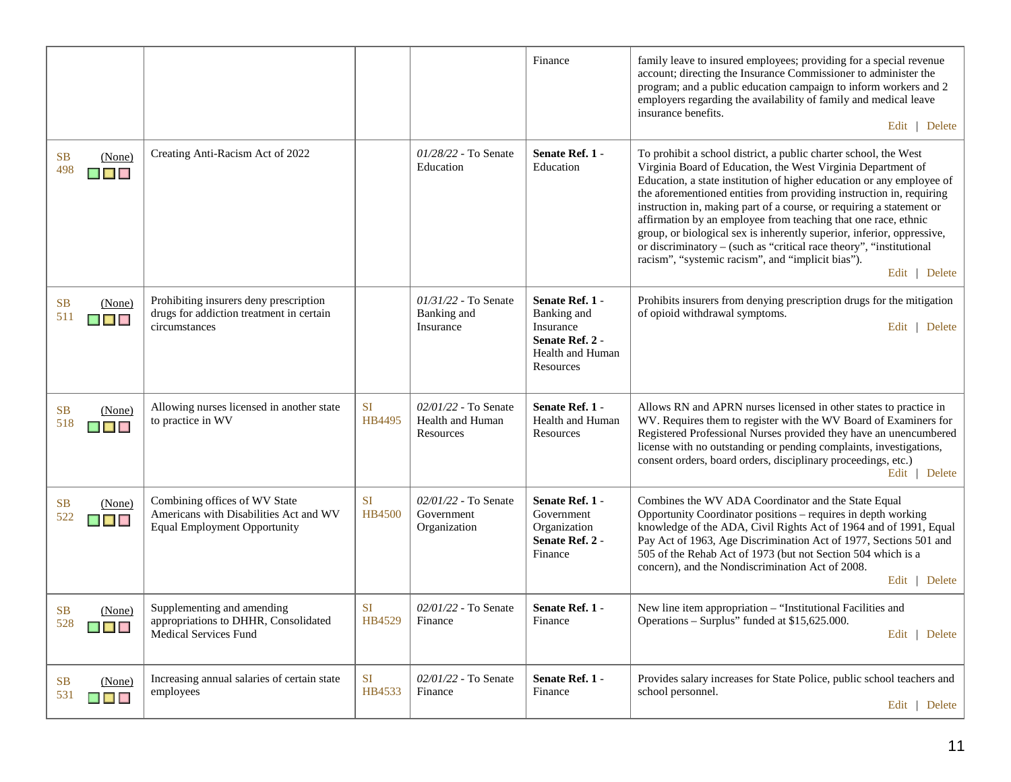|                                                                            |                                                                                                                |                            |                                                         | Finance                                                                                         | family leave to insured employees; providing for a special revenue<br>account; directing the Insurance Commissioner to administer the<br>program; and a public education campaign to inform workers and 2<br>employers regarding the availability of family and medical leave<br>insurance benefits.<br>Edit   Delete                                                                                                                                                                                                                                                                                                                              |
|----------------------------------------------------------------------------|----------------------------------------------------------------------------------------------------------------|----------------------------|---------------------------------------------------------|-------------------------------------------------------------------------------------------------|----------------------------------------------------------------------------------------------------------------------------------------------------------------------------------------------------------------------------------------------------------------------------------------------------------------------------------------------------------------------------------------------------------------------------------------------------------------------------------------------------------------------------------------------------------------------------------------------------------------------------------------------------|
| <b>SB</b><br>(None)<br>498<br>$\blacksquare$ $\blacksquare$ $\blacksquare$ | Creating Anti-Racism Act of 2022                                                                               |                            | 01/28/22 - To Senate<br>Education                       | Senate Ref. 1 -<br>Education                                                                    | To prohibit a school district, a public charter school, the West<br>Virginia Board of Education, the West Virginia Department of<br>Education, a state institution of higher education or any employee of<br>the aforementioned entities from providing instruction in, requiring<br>instruction in, making part of a course, or requiring a statement or<br>affirmation by an employee from teaching that one race, ethnic<br>group, or biological sex is inherently superior, inferior, oppressive,<br>or discriminatory - (such as "critical race theory", "institutional<br>racism", "systemic racism", and "implicit bias").<br>Edit   Delete |
| <b>SB</b><br>(None)<br>511<br>$\blacksquare$                               | Prohibiting insurers deny prescription<br>drugs for addiction treatment in certain<br>circumstances            |                            | $01/31/22$ - To Senate<br>Banking and<br>Insurance      | Senate Ref. 1 -<br>Banking and<br>Insurance<br>Senate Ref. 2 -<br>Health and Human<br>Resources | Prohibits insurers from denying prescription drugs for the mitigation<br>of opioid withdrawal symptoms.<br>Edit   Delete                                                                                                                                                                                                                                                                                                                                                                                                                                                                                                                           |
| <b>SB</b><br>(None)<br>518<br>$\blacksquare$                               | Allowing nurses licensed in another state<br>to practice in WV                                                 | <b>SI</b><br>HB4495        | $02/01/22$ - To Senate<br>Health and Human<br>Resources | Senate Ref. 1 -<br>Health and Human<br>Resources                                                | Allows RN and APRN nurses licensed in other states to practice in<br>WV. Requires them to register with the WV Board of Examiners for<br>Registered Professional Nurses provided they have an unencumbered<br>license with no outstanding or pending complaints, investigations,<br>consent orders, board orders, disciplinary proceedings, etc.)<br>Edit   Delete                                                                                                                                                                                                                                                                                 |
| <b>SB</b><br>(None)<br>522<br>$\blacksquare$                               | Combining offices of WV State<br>Americans with Disabilities Act and WV<br><b>Equal Employment Opportunity</b> | <b>SI</b><br><b>HB4500</b> | $02/01/22$ - To Senate<br>Government<br>Organization    | Senate Ref. 1 -<br>Government<br>Organization<br>Senate Ref. 2 -<br>Finance                     | Combines the WV ADA Coordinator and the State Equal<br>Opportunity Coordinator positions - requires in depth working<br>knowledge of the ADA, Civil Rights Act of 1964 and of 1991, Equal<br>Pay Act of 1963, Age Discrimination Act of 1977, Sections 501 and<br>505 of the Rehab Act of 1973 (but not Section 504 which is a<br>concern), and the Nondiscrimination Act of 2008.<br>Edit   Delete                                                                                                                                                                                                                                                |
| <b>SB</b><br>(None)<br>528<br><b>FILE</b>                                  | Supplementing and amending<br>appropriations to DHHR, Consolidated<br><b>Medical Services Fund</b>             | <b>SI</b><br>HB4529        | 02/01/22 - To Senate<br>Finance                         | Senate Ref. 1 -<br>Finance                                                                      | New line item appropriation - "Institutional Facilities and<br>Operations – Surplus" funded at \$15,625.000.<br>Edit   Delete                                                                                                                                                                                                                                                                                                                                                                                                                                                                                                                      |
| <b>SB</b><br>(None)<br>531<br>$\blacksquare$ $\blacksquare$                | Increasing annual salaries of certain state<br>employees                                                       | <b>SI</b><br>HB4533        | 02/01/22 - To Senate<br>Finance                         | Senate Ref. 1 -<br>Finance                                                                      | Provides salary increases for State Police, public school teachers and<br>school personnel.<br>Edit   Delete                                                                                                                                                                                                                                                                                                                                                                                                                                                                                                                                       |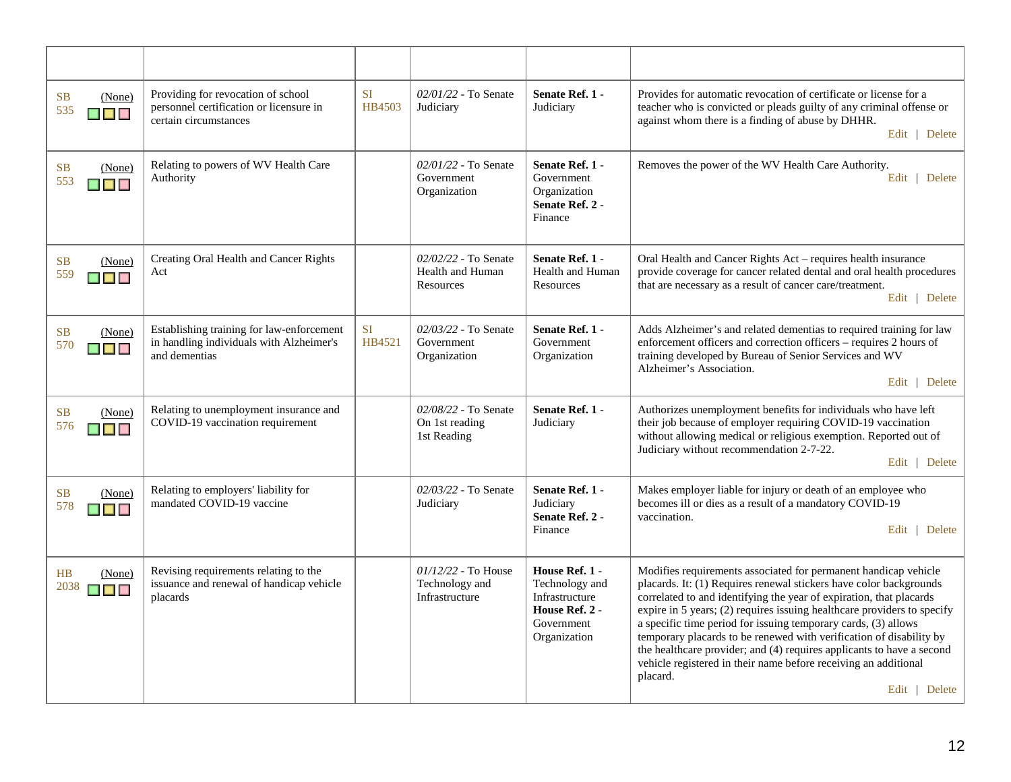| <b>SB</b><br>(None)<br>535<br>$\blacksquare$ $\blacksquare$                | Providing for revocation of school<br>personnel certification or licensure in<br>certain circumstances | <b>SI</b><br>HB4503 | 02/01/22 - To Senate<br>Judiciary                         | Senate Ref. 1 -<br>Judiciary                                                                       | Provides for automatic revocation of certificate or license for a<br>teacher who is convicted or pleads guilty of any criminal offense or<br>against whom there is a finding of abuse by DHHR.<br>Edit   Delete                                                                                                                                                                                                                                                                                                                                                                                           |
|----------------------------------------------------------------------------|--------------------------------------------------------------------------------------------------------|---------------------|-----------------------------------------------------------|----------------------------------------------------------------------------------------------------|-----------------------------------------------------------------------------------------------------------------------------------------------------------------------------------------------------------------------------------------------------------------------------------------------------------------------------------------------------------------------------------------------------------------------------------------------------------------------------------------------------------------------------------------------------------------------------------------------------------|
| <b>SB</b><br>(None)<br>553<br>$\blacksquare$ $\blacksquare$                | Relating to powers of WV Health Care<br>Authority                                                      |                     | $02/01/22$ - To Senate<br>Government<br>Organization      | Senate Ref. 1 -<br>Government<br>Organization<br>Senate Ref. 2 -<br>Finance                        | Removes the power of the WV Health Care Authority.<br>Edit   Delete                                                                                                                                                                                                                                                                                                                                                                                                                                                                                                                                       |
| SB<br>(None)<br>559<br>$\blacksquare$ $\blacksquare$ $\blacksquare$        | Creating Oral Health and Cancer Rights<br>Act                                                          |                     | 02/02/22 - To Senate<br>Health and Human<br>Resources     | Senate Ref. 1 -<br>Health and Human<br>Resources                                                   | Oral Health and Cancer Rights Act - requires health insurance<br>provide coverage for cancer related dental and oral health procedures<br>that are necessary as a result of cancer care/treatment.<br>Edit   Delete                                                                                                                                                                                                                                                                                                                                                                                       |
| <b>SB</b><br>(None)<br>570<br>$\blacksquare$ $\blacksquare$ $\blacksquare$ | Establishing training for law-enforcement<br>in handling individuals with Alzheimer's<br>and dementias | <b>SI</b><br>HB4521 | 02/03/22 - To Senate<br>Government<br>Organization        | Senate Ref. 1 -<br>Government<br>Organization                                                      | Adds Alzheimer's and related dementias to required training for law<br>enforcement officers and correction officers - requires 2 hours of<br>training developed by Bureau of Senior Services and WV<br>Alzheimer's Association.<br>Edit   Delete                                                                                                                                                                                                                                                                                                                                                          |
| <b>SB</b><br>(None)<br>576<br>$\blacksquare$                               | Relating to unemployment insurance and<br>COVID-19 vaccination requirement                             |                     | 02/08/22 - To Senate<br>On 1st reading<br>1st Reading     | Senate Ref. 1 -<br>Judiciary                                                                       | Authorizes unemployment benefits for individuals who have left<br>their job because of employer requiring COVID-19 vaccination<br>without allowing medical or religious exemption. Reported out of<br>Judiciary without recommendation 2-7-22.<br>Edit   Delete                                                                                                                                                                                                                                                                                                                                           |
| <b>SB</b><br>(None)<br>578<br>$\blacksquare$ $\blacksquare$ $\blacksquare$ | Relating to employers' liability for<br>mandated COVID-19 vaccine                                      |                     | 02/03/22 - To Senate<br>Judiciary                         | Senate Ref. 1 -<br>Judiciary<br>Senate Ref. 2 -<br>Finance                                         | Makes employer liable for injury or death of an employee who<br>becomes ill or dies as a result of a mandatory COVID-19<br>vaccination.<br>Edit   Delete                                                                                                                                                                                                                                                                                                                                                                                                                                                  |
| (None)<br>HB<br>2038 $\Box$                                                | Revising requirements relating to the<br>issuance and renewal of handicap vehicle<br>placards          |                     | $01/12/22$ - To House<br>Technology and<br>Infrastructure | House Ref. 1 -<br>Technology and<br>Infrastructure<br>House Ref. 2 -<br>Government<br>Organization | Modifies requirements associated for permanent handicap vehicle<br>placards. It: (1) Requires renewal stickers have color backgrounds<br>correlated to and identifying the year of expiration, that placards<br>expire in 5 years; (2) requires issuing healthcare providers to specify<br>a specific time period for issuing temporary cards, (3) allows<br>temporary placards to be renewed with verification of disability by<br>the healthcare provider; and (4) requires applicants to have a second<br>vehicle registered in their name before receiving an additional<br>placard.<br>Edit   Delete |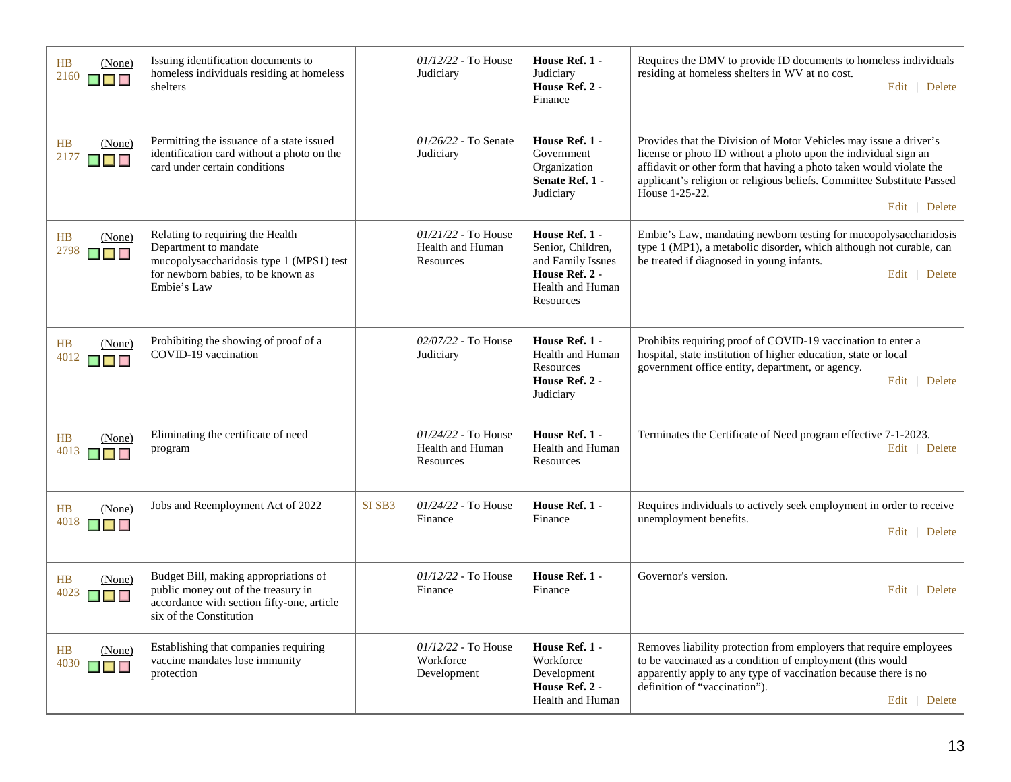| HB<br>(None)<br>2160<br>▉▉▉             | Issuing identification documents to<br>homeless individuals residing at homeless<br>shelters                                                               |        | 01/12/22 - To House<br>Judiciary                              | House Ref. 1 -<br>Judiciary<br>House Ref. 2 -<br>Finance                                                    | Requires the DMV to provide ID documents to homeless individuals<br>residing at homeless shelters in WV at no cost.<br>Edit   Delete                                                                                                                                                                                     |
|-----------------------------------------|------------------------------------------------------------------------------------------------------------------------------------------------------------|--------|---------------------------------------------------------------|-------------------------------------------------------------------------------------------------------------|--------------------------------------------------------------------------------------------------------------------------------------------------------------------------------------------------------------------------------------------------------------------------------------------------------------------------|
| H B<br>(None)<br>2177<br>████           | Permitting the issuance of a state issued<br>identification card without a photo on the<br>card under certain conditions                                   |        | 01/26/22 - To Senate<br>Judiciary                             | House Ref. 1 -<br>Government<br>Organization<br>Senate Ref. 1 -<br>Judiciary                                | Provides that the Division of Motor Vehicles may issue a driver's<br>license or photo ID without a photo upon the individual sign an<br>affidavit or other form that having a photo taken would violate the<br>applicant's religion or religious beliefs. Committee Substitute Passed<br>House 1-25-22.<br>Edit   Delete |
| HB<br>(None)<br>2798<br><b>Maria</b>    | Relating to requiring the Health<br>Department to mandate<br>mucopolysaccharidosis type 1 (MPS1) test<br>for newborn babies, to be known as<br>Embie's Law |        | $01/21/22$ - To House<br><b>Health and Human</b><br>Resources | House Ref. 1 -<br>Senior, Children,<br>and Family Issues<br>House Ref. 2 -<br>Health and Human<br>Resources | Embie's Law, mandating newborn testing for mucopolysaccharidosis<br>type 1 (MP1), a metabolic disorder, which although not curable, can<br>be treated if diagnosed in young infants.<br>Edit   Delete                                                                                                                    |
| HB<br>(None)<br>4012                    | Prohibiting the showing of proof of a<br>COVID-19 vaccination                                                                                              |        | 02/07/22 - To House<br>Judiciary                              | House Ref. 1 -<br>Health and Human<br>Resources<br>House Ref. 2 -<br>Judiciary                              | Prohibits requiring proof of COVID-19 vaccination to enter a<br>hospital, state institution of higher education, state or local<br>government office entity, department, or agency.<br>Edit   Delete                                                                                                                     |
| HB<br>(None)<br>4013<br>$\blacksquare$  | Eliminating the certificate of need<br>program                                                                                                             |        | 01/24/22 - To House<br>Health and Human<br>Resources          | House Ref. 1 -<br>Health and Human<br>Resources                                                             | Terminates the Certificate of Need program effective 7-1-2023.<br>Edit   Delete                                                                                                                                                                                                                                          |
| HB<br>(None)<br>$4018$ $\Box$           | Jobs and Reemployment Act of 2022                                                                                                                          | SI SB3 | 01/24/22 - To House<br>Finance                                | House Ref. 1 -<br>Finance                                                                                   | Requires individuals to actively seek employment in order to receive<br>unemployment benefits.<br>Edit   Delete                                                                                                                                                                                                          |
| HB<br>(None)<br>4023<br><b>MARINA</b>   | Budget Bill, making appropriations of<br>public money out of the treasury in<br>accordance with section fifty-one, article<br>six of the Constitution      |        | $01/12/22$ - To House<br>Finance                              | House Ref. 1 -<br>Finance                                                                                   | Governor's version.<br>Edit   Delete                                                                                                                                                                                                                                                                                     |
| HB<br>(None)<br>4030<br><b>SE EN EN</b> | Establishing that companies requiring<br>vaccine mandates lose immunity<br>protection                                                                      |        | $01/12/22$ - To House<br>Workforce<br>Development             | House Ref. 1 -<br>Workforce<br>Development<br>House Ref. 2 -<br>Health and Human                            | Removes liability protection from employers that require employees<br>to be vaccinated as a condition of employment (this would<br>apparently apply to any type of vaccination because there is no<br>definition of "vaccination").<br>Edit   Delete                                                                     |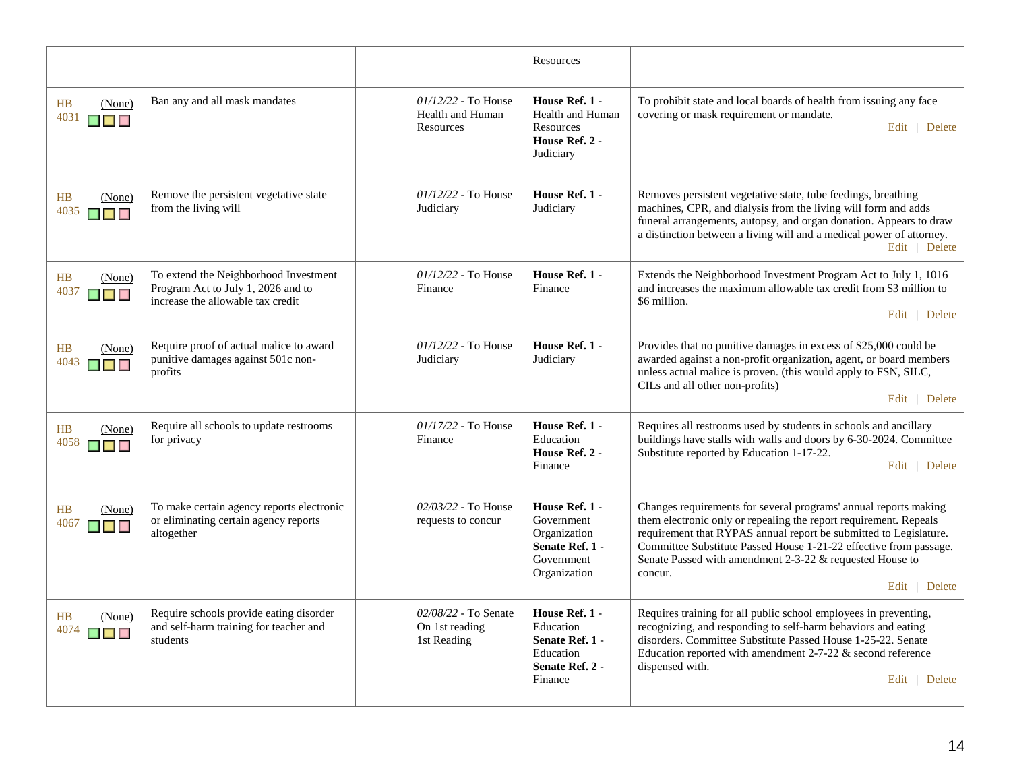|                                             |                                                                                                                  |                                                        | Resources                                                                                     |                                                                                                                                                                                                                                                                                                                                                                         |
|---------------------------------------------|------------------------------------------------------------------------------------------------------------------|--------------------------------------------------------|-----------------------------------------------------------------------------------------------|-------------------------------------------------------------------------------------------------------------------------------------------------------------------------------------------------------------------------------------------------------------------------------------------------------------------------------------------------------------------------|
| HB<br>(None)<br>4031<br><b>MARINA</b>       | Ban any and all mask mandates                                                                                    | $01/12/22$ - To House<br>Health and Human<br>Resources | House Ref. 1 -<br>Health and Human<br>Resources<br>House Ref. 2 -<br>Judiciary                | To prohibit state and local boards of health from issuing any face<br>covering or mask requirement or mandate.<br>Edit   Delete                                                                                                                                                                                                                                         |
| <b>HB</b><br>(None)<br>4035<br><b>Maria</b> | Remove the persistent vegetative state<br>from the living will                                                   | $01/12/22$ - To House<br>Judiciary                     | House Ref. 1 -<br>Judiciary                                                                   | Removes persistent vegetative state, tube feedings, breathing<br>machines, CPR, and dialysis from the living will form and adds<br>funeral arrangements, autopsy, and organ donation. Appears to draw<br>a distinction between a living will and a medical power of attorney.<br>Edit   Delete                                                                          |
| HB<br>(None)<br>4037<br><b>Ma</b> Ma        | To extend the Neighborhood Investment<br>Program Act to July 1, 2026 and to<br>increase the allowable tax credit | $01/12/22$ - To House<br>Finance                       | House Ref. 1 -<br>Finance                                                                     | Extends the Neighborhood Investment Program Act to July 1, 1016<br>and increases the maximum allowable tax credit from \$3 million to<br>\$6 million.<br>Edit   Delete                                                                                                                                                                                                  |
| HB<br>(None)<br>4043<br>$\blacksquare$      | Require proof of actual malice to award<br>punitive damages against 501c non-<br>profits                         | $01/12/22$ - To House<br>Judiciary                     | House Ref. 1 -<br>Judiciary                                                                   | Provides that no punitive damages in excess of \$25,000 could be<br>awarded against a non-profit organization, agent, or board members<br>unless actual malice is proven. (this would apply to FSN, SILC,<br>CILs and all other non-profits)<br>Edit   Delete                                                                                                           |
| HB<br>(None)<br>4058<br><b>THE RE</b>       | Require all schools to update restrooms<br>for privacy                                                           | 01/17/22 - To House<br>Finance                         | House Ref. 1 -<br>Education<br>House Ref. 2 -<br>Finance                                      | Requires all restrooms used by students in schools and ancillary<br>buildings have stalls with walls and doors by 6-30-2024. Committee<br>Substitute reported by Education 1-17-22.<br>Edit   Delete                                                                                                                                                                    |
| H B<br>(None)<br>4067<br>▉▊▊                | To make certain agency reports electronic<br>or eliminating certain agency reports<br>altogether                 | 02/03/22 - To House<br>requests to concur              | House Ref. 1 -<br>Government<br>Organization<br>Senate Ref. 1 -<br>Government<br>Organization | Changes requirements for several programs' annual reports making<br>them electronic only or repealing the report requirement. Repeals<br>requirement that RYPAS annual report be submitted to Legislature.<br>Committee Substitute Passed House 1-21-22 effective from passage.<br>Senate Passed with amendment 2-3-22 & requested House to<br>concur.<br>Edit   Delete |
| HB<br>(None)<br>4074                        | Require schools provide eating disorder<br>and self-harm training for teacher and<br>students                    | 02/08/22 - To Senate<br>On 1st reading<br>1st Reading  | House Ref. 1 -<br>Education<br>Senate Ref. 1 -<br>Education<br>Senate Ref. 2 -<br>Finance     | Requires training for all public school employees in preventing,<br>recognizing, and responding to self-harm behaviors and eating<br>disorders. Committee Substitute Passed House 1-25-22. Senate<br>Education reported with amendment $2-7-22$ & second reference<br>dispensed with.<br>Edit   Delete                                                                  |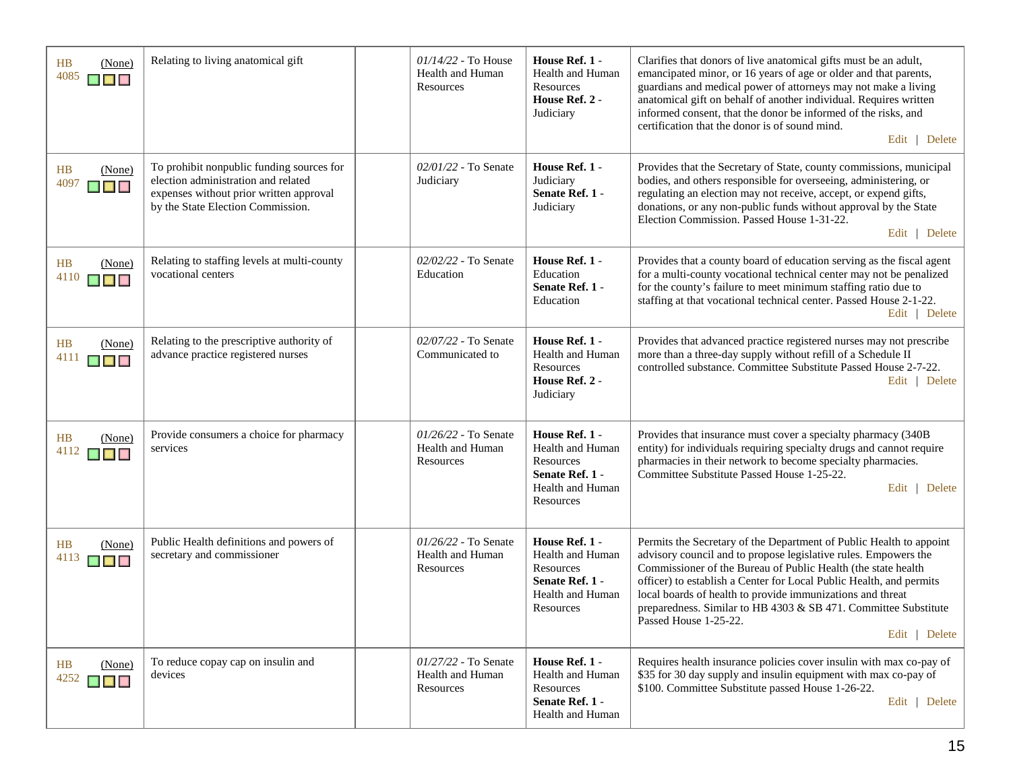| HB<br>(None)<br>4085<br><b>THE RE</b>                 | Relating to living anatomical gift                                                                                                                               | $01/14/22$ - To House<br>Health and Human<br>Resources | House Ref. 1 -<br>Health and Human<br><b>Resources</b><br>House Ref. 2 -<br>Judiciary                             | Clarifies that donors of live anatomical gifts must be an adult,<br>emancipated minor, or 16 years of age or older and that parents,<br>guardians and medical power of attorneys may not make a living<br>anatomical gift on behalf of another individual. Requires written<br>informed consent, that the donor be informed of the risks, and<br>certification that the donor is of sound mind.<br>Edit   Delete                                          |
|-------------------------------------------------------|------------------------------------------------------------------------------------------------------------------------------------------------------------------|--------------------------------------------------------|-------------------------------------------------------------------------------------------------------------------|-----------------------------------------------------------------------------------------------------------------------------------------------------------------------------------------------------------------------------------------------------------------------------------------------------------------------------------------------------------------------------------------------------------------------------------------------------------|
| HB<br>(None)<br>4097<br>$\blacksquare$                | To prohibit nonpublic funding sources for<br>election administration and related<br>expenses without prior written approval<br>by the State Election Commission. | $02/01/22$ - To Senate<br>Judiciary                    | House Ref. 1 -<br>Judiciary<br>Senate Ref. 1 -<br>Judiciary                                                       | Provides that the Secretary of State, county commissions, municipal<br>bodies, and others responsible for overseeing, administering, or<br>regulating an election may not receive, accept, or expend gifts,<br>donations, or any non-public funds without approval by the State<br>Election Commission. Passed House 1-31-22.<br>Edit   Delete                                                                                                            |
| <b>HB</b><br>(None)<br>4110<br><b>THE REAL</b>        | Relating to staffing levels at multi-county<br>vocational centers                                                                                                | $02/02/22$ - To Senate<br>Education                    | House Ref. 1 -<br>Education<br>Senate Ref. 1 -<br>Education                                                       | Provides that a county board of education serving as the fiscal agent<br>for a multi-county vocational technical center may not be penalized<br>for the county's failure to meet minimum staffing ratio due to<br>staffing at that vocational technical center. Passed House 2-1-22.<br>Edit   Delete                                                                                                                                                     |
| HB<br>(None)<br>4111<br>▉▉                            | Relating to the prescriptive authority of<br>advance practice registered nurses                                                                                  | 02/07/22 - To Senate<br>Communicated to                | House Ref. 1 -<br>Health and Human<br><b>Resources</b><br>House Ref. 2 -<br>Judiciary                             | Provides that advanced practice registered nurses may not prescribe<br>more than a three-day supply without refill of a Schedule II<br>controlled substance. Committee Substitute Passed House 2-7-22.<br>Edit   Delete                                                                                                                                                                                                                                   |
| HB<br>(None)<br>4112<br><b>K E K</b>                  | Provide consumers a choice for pharmacy<br>services                                                                                                              | 01/26/22 - To Senate<br>Health and Human<br>Resources  | House Ref. 1 -<br>Health and Human<br>Resources<br>Senate Ref. 1 -<br>Health and Human<br>Resources               | Provides that insurance must cover a specialty pharmacy (340B<br>entity) for individuals requiring specialty drugs and cannot require<br>pharmacies in their network to become specialty pharmacies.<br>Committee Substitute Passed House 1-25-22.<br>Edit   Delete                                                                                                                                                                                       |
| HB<br>(None)<br>4113<br>▉▊▊                           | Public Health definitions and powers of<br>secretary and commissioner                                                                                            | 01/26/22 - To Senate<br>Health and Human<br>Resources  | House Ref. 1 -<br><b>Health and Human</b><br><b>Resources</b><br>Senate Ref. 1 -<br>Health and Human<br>Resources | Permits the Secretary of the Department of Public Health to appoint<br>advisory council and to propose legislative rules. Empowers the<br>Commissioner of the Bureau of Public Health (the state health<br>officer) to establish a Center for Local Public Health, and permits<br>local boards of health to provide immunizations and threat<br>preparedness. Similar to HB 4303 & SB 471. Committee Substitute<br>Passed House 1-25-22.<br>Edit   Delete |
| (None)<br>HB<br>4252<br>$\blacksquare$ $\blacksquare$ | To reduce copay cap on insulin and<br>devices                                                                                                                    | 01/27/22 - To Senate<br>Health and Human<br>Resources  | House Ref. 1 -<br>Health and Human<br>Resources<br>Senate Ref. 1 -<br>Health and Human                            | Requires health insurance policies cover insulin with max co-pay of<br>\$35 for 30 day supply and insulin equipment with max co-pay of<br>\$100. Committee Substitute passed House 1-26-22.<br>Edit   Delete                                                                                                                                                                                                                                              |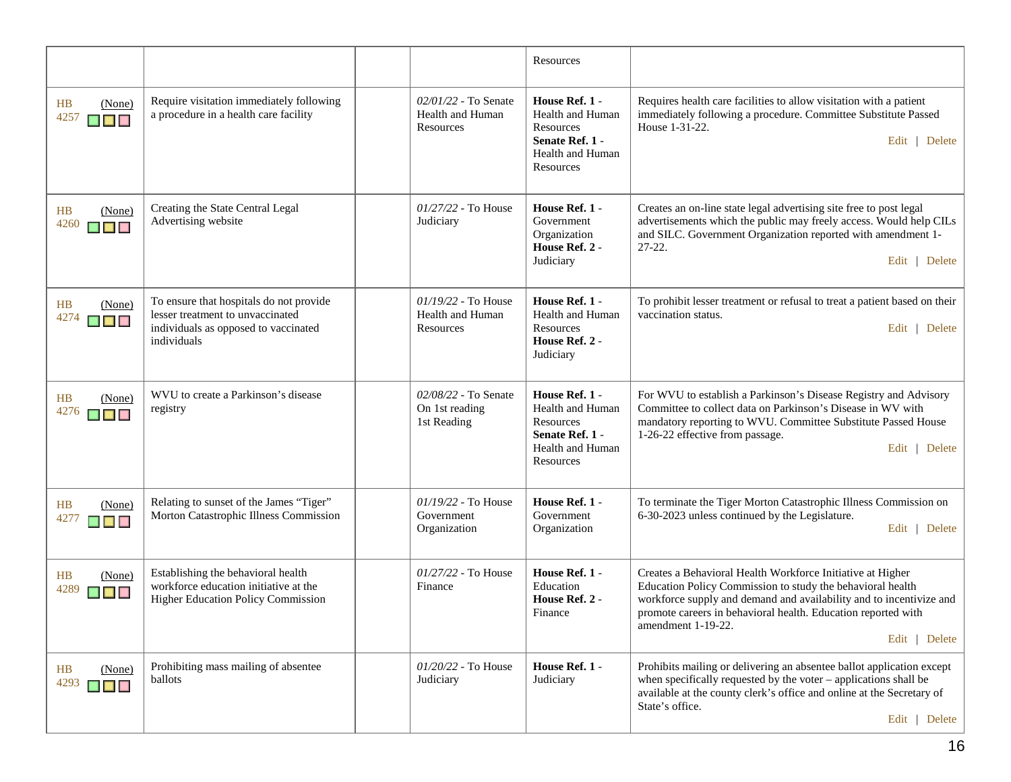|                                        |                                                                                                                                    |                                                              | Resources                                                                                           |                                                                                                                                                                                                                                                                                                         |
|----------------------------------------|------------------------------------------------------------------------------------------------------------------------------------|--------------------------------------------------------------|-----------------------------------------------------------------------------------------------------|---------------------------------------------------------------------------------------------------------------------------------------------------------------------------------------------------------------------------------------------------------------------------------------------------------|
| HB<br>(None)<br>4257<br>$\blacksquare$ | Require visitation immediately following<br>a procedure in a health care facility                                                  | 02/01/22 - To Senate<br>Health and Human<br><b>Resources</b> | House Ref. 1 -<br>Health and Human<br>Resources<br>Senate Ref. 1 -<br>Health and Human<br>Resources | Requires health care facilities to allow visitation with a patient<br>immediately following a procedure. Committee Substitute Passed<br>House 1-31-22.<br>Edit   Delete                                                                                                                                 |
| HB<br>(None)<br>4260<br>▉▉▉            | Creating the State Central Legal<br>Advertising website                                                                            | 01/27/22 - To House<br>Judiciary                             | House Ref. 1 -<br>Government<br>Organization<br>House Ref. 2 -<br>Judiciary                         | Creates an on-line state legal advertising site free to post legal<br>advertisements which the public may freely access. Would help CILs<br>and SILC. Government Organization reported with amendment 1-<br>$27 - 22$ .<br>Edit   Delete                                                                |
| HB<br>(None)<br>4274<br>$\blacksquare$ | To ensure that hospitals do not provide<br>lesser treatment to unvaccinated<br>individuals as opposed to vaccinated<br>individuals | 01/19/22 - To House<br><b>Health and Human</b><br>Resources  | House Ref. 1 -<br>Health and Human<br>Resources<br>House Ref. 2 -<br>Judiciary                      | To prohibit lesser treatment or refusal to treat a patient based on their<br>vaccination status.<br>Edit   Delete                                                                                                                                                                                       |
| HB<br>(None)<br>4276<br><b>K K</b>     | WVU to create a Parkinson's disease<br>registry                                                                                    | 02/08/22 - To Senate<br>On 1st reading<br>1st Reading        | House Ref. 1 -<br>Health and Human<br>Resources<br>Senate Ref. 1 -<br>Health and Human<br>Resources | For WVU to establish a Parkinson's Disease Registry and Advisory<br>Committee to collect data on Parkinson's Disease in WV with<br>mandatory reporting to WVU. Committee Substitute Passed House<br>1-26-22 effective from passage.<br>Edit   Delete                                                    |
| HB<br>(None)<br>4277<br>▉▉▉            | Relating to sunset of the James "Tiger"<br>Morton Catastrophic Illness Commission                                                  | 01/19/22 - To House<br>Government<br>Organization            | House Ref. 1 -<br>Government<br>Organization                                                        | To terminate the Tiger Morton Catastrophic Illness Commission on<br>6-30-2023 unless continued by the Legislature.<br>Edit   Delete                                                                                                                                                                     |
| HB<br>(None)<br>4289<br>$\blacksquare$ | Establishing the behavioral health<br>workforce education initiative at the<br>Higher Education Policy Commission                  | 01/27/22 - To House<br>Finance                               | House Ref. 1 -<br>Education<br>House Ref. 2 -<br>Finance                                            | Creates a Behavioral Health Workforce Initiative at Higher<br>Education Policy Commission to study the behavioral health<br>workforce supply and demand and availability and to incentivize and<br>promote careers in behavioral health. Education reported with<br>amendment 1-19-22.<br>Edit   Delete |
| (None)<br>HB<br>4293<br>$\blacksquare$ | Prohibiting mass mailing of absentee<br>ballots                                                                                    | 01/20/22 - To House<br>Judiciary                             | House Ref. 1 -<br>Judiciary                                                                         | Prohibits mailing or delivering an absentee ballot application except<br>when specifically requested by the voter $-$ applications shall be<br>available at the county clerk's office and online at the Secretary of<br>State's office.<br>Edit   Delete                                                |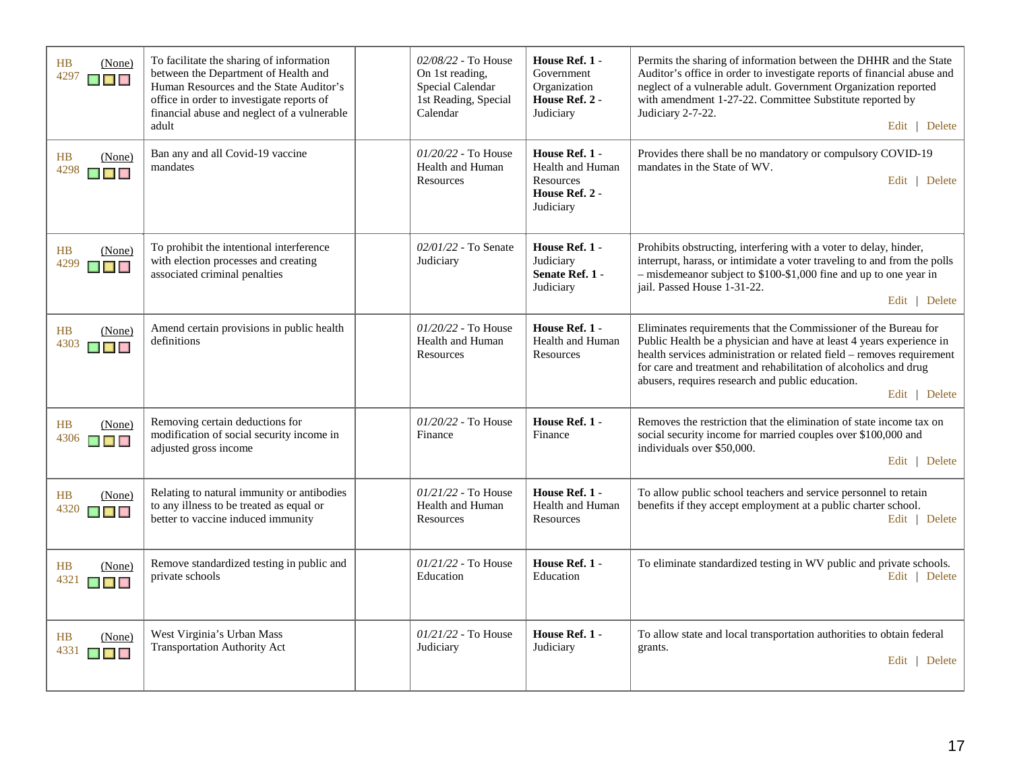| H B<br>(None)<br>4297<br><b>A A A</b>               | To facilitate the sharing of information<br>between the Department of Health and<br>Human Resources and the State Auditor's<br>office in order to investigate reports of<br>financial abuse and neglect of a vulnerable<br>adult | 02/08/22 - To House<br>On 1st reading,<br>Special Calendar<br>1st Reading, Special<br>Calendar | House Ref. 1 -<br>Government<br>Organization<br>House Ref. 2 -<br>Judiciary    | Permits the sharing of information between the DHHR and the State<br>Auditor's office in order to investigate reports of financial abuse and<br>neglect of a vulnerable adult. Government Organization reported<br>with amendment 1-27-22. Committee Substitute reported by<br>Judiciary 2-7-22.<br>Edit   Delete                                         |
|-----------------------------------------------------|----------------------------------------------------------------------------------------------------------------------------------------------------------------------------------------------------------------------------------|------------------------------------------------------------------------------------------------|--------------------------------------------------------------------------------|-----------------------------------------------------------------------------------------------------------------------------------------------------------------------------------------------------------------------------------------------------------------------------------------------------------------------------------------------------------|
| HB<br>(None)<br>4298<br><b>KRISTIN</b>              | Ban any and all Covid-19 vaccine<br>mandates                                                                                                                                                                                     | 01/20/22 - To House<br>Health and Human<br>Resources                                           | House Ref. 1 -<br>Health and Human<br>Resources<br>House Ref. 2 -<br>Judiciary | Provides there shall be no mandatory or compulsory COVID-19<br>mandates in the State of WV.<br>Edit   Delete                                                                                                                                                                                                                                              |
| HB<br>(None)<br>4299<br>▉▊▊                         | To prohibit the intentional interference<br>with election processes and creating<br>associated criminal penalties                                                                                                                | 02/01/22 - To Senate<br>Judiciary                                                              | House Ref. 1 -<br>Judiciary<br>Senate Ref. 1 -<br>Judiciary                    | Prohibits obstructing, interfering with a voter to delay, hinder,<br>interrupt, harass, or intimidate a voter traveling to and from the polls<br>$-$ misdemeanor subject to \$100-\$1,000 fine and up to one year in<br>jail. Passed House 1-31-22.<br>Edit   Delete                                                                                      |
| H B<br>(None)<br>4303<br>$\blacksquare$             | Amend certain provisions in public health<br>definitions                                                                                                                                                                         | $01/20/22$ - To House<br>Health and Human<br>Resources                                         | House Ref. 1 -<br><b>Health and Human</b><br>Resources                         | Eliminates requirements that the Commissioner of the Bureau for<br>Public Health be a physician and have at least 4 years experience in<br>health services administration or related field - removes requirement<br>for care and treatment and rehabilitation of alcoholics and drug<br>abusers, requires research and public education.<br>Edit   Delete |
| H B<br>(None)<br>4306<br>$\blacksquare$             | Removing certain deductions for<br>modification of social security income in<br>adjusted gross income                                                                                                                            | 01/20/22 - To House<br>Finance                                                                 | House Ref. 1 -<br>Finance                                                      | Removes the restriction that the elimination of state income tax on<br>social security income for married couples over \$100,000 and<br>individuals over \$50,000.<br>Edit   Delete                                                                                                                                                                       |
| HB<br>(None)<br>4320<br>$\blacksquare$              | Relating to natural immunity or antibodies<br>to any illness to be treated as equal or<br>better to vaccine induced immunity                                                                                                     | $01/21/22$ - To House<br>Health and Human<br>Resources                                         | House Ref. 1 -<br>Health and Human<br>Resources                                | To allow public school teachers and service personnel to retain<br>benefits if they accept employment at a public charter school.<br>Edit   Delete                                                                                                                                                                                                        |
| HB<br>(None)<br>4321<br>n di k                      | Remove standardized testing in public and<br>private schools                                                                                                                                                                     | 01/21/22 - To House<br>Education                                                               | House Ref. 1 -<br>Education                                                    | To eliminate standardized testing in WV public and private schools.<br>Edit   Delete                                                                                                                                                                                                                                                                      |
| HB<br>(None)<br>4331<br><b>The Contract Service</b> | West Virginia's Urban Mass<br><b>Transportation Authority Act</b>                                                                                                                                                                | $01/21/22$ - To House<br>Judiciary                                                             | House Ref. 1 -<br>Judiciary                                                    | To allow state and local transportation authorities to obtain federal<br>grants.<br>Edit   Delete                                                                                                                                                                                                                                                         |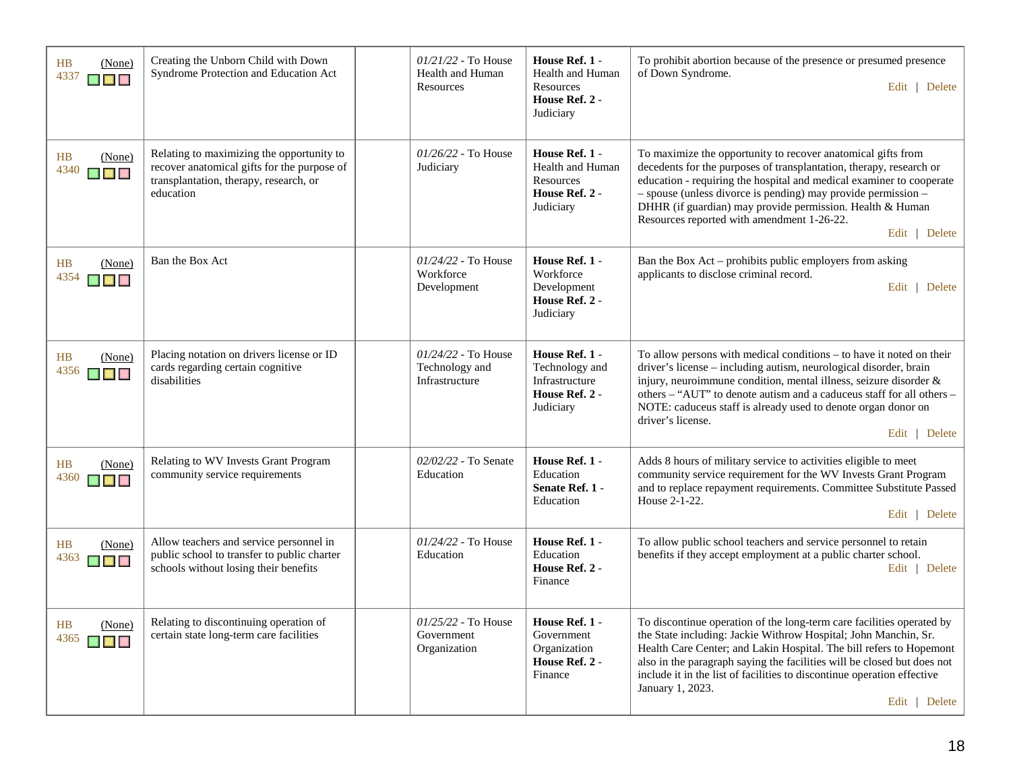| HB<br>(None)<br>4337<br>$\blacksquare$                               | Creating the Unborn Child with Down<br>Syndrome Protection and Education Act                                                                    | $01/21/22$ - To House<br>Health and Human<br>Resources    | House Ref. 1 -<br>Health and Human<br>Resources<br>House Ref. 2 -<br>Judiciary        | To prohibit abortion because of the presence or presumed presence<br>of Down Syndrome.<br>Edit   Delete                                                                                                                                                                                                                                                                                                    |
|----------------------------------------------------------------------|-------------------------------------------------------------------------------------------------------------------------------------------------|-----------------------------------------------------------|---------------------------------------------------------------------------------------|------------------------------------------------------------------------------------------------------------------------------------------------------------------------------------------------------------------------------------------------------------------------------------------------------------------------------------------------------------------------------------------------------------|
| HB<br>(None)<br>4340<br>$\blacksquare$                               | Relating to maximizing the opportunity to<br>recover anatomical gifts for the purpose of<br>transplantation, therapy, research, or<br>education | $01/26/22$ - To House<br>Judiciary                        | House Ref. 1 -<br>Health and Human<br><b>Resources</b><br>House Ref. 2 -<br>Judiciary | To maximize the opportunity to recover anatomical gifts from<br>decedents for the purposes of transplantation, therapy, research or<br>education - requiring the hospital and medical examiner to cooperate<br>- spouse (unless divorce is pending) may provide permission -<br>DHHR (if guardian) may provide permission. Health & Human<br>Resources reported with amendment 1-26-22.<br>Edit   Delete   |
| HB<br>(None)<br>4354<br>$\blacksquare$ $\blacksquare$ $\blacksquare$ | Ban the Box Act                                                                                                                                 | 01/24/22 - To House<br>Workforce<br>Development           | House Ref. 1 -<br>Workforce<br>Development<br>House Ref. 2 -<br>Judiciary             | Ban the Box Act – prohibits public employers from asking<br>applicants to disclose criminal record.<br>Edit   Delete                                                                                                                                                                                                                                                                                       |
| HB<br>(None)<br>4356                                                 | Placing notation on drivers license or ID<br>cards regarding certain cognitive<br>disabilities                                                  | $01/24/22$ - To House<br>Technology and<br>Infrastructure | House Ref. 1 -<br>Technology and<br>Infrastructure<br>House Ref. 2 -<br>Judiciary     | To allow persons with medical conditions – to have it noted on their<br>driver's license - including autism, neurological disorder, brain<br>injury, neuroimmune condition, mental illness, seizure disorder &<br>others - "AUT" to denote autism and a caduceus staff for all others -<br>NOTE: caduceus staff is already used to denote organ donor on<br>driver's license.<br>Edit   Delete             |
| HB<br>(None)<br>4360<br>$\blacksquare$                               | Relating to WV Invests Grant Program<br>community service requirements                                                                          | 02/02/22 - To Senate<br>Education                         | House Ref. 1 -<br>Education<br>Senate Ref. 1 -<br>Education                           | Adds 8 hours of military service to activities eligible to meet<br>community service requirement for the WV Invests Grant Program<br>and to replace repayment requirements. Committee Substitute Passed<br>House 2-1-22.<br>Edit   Delete                                                                                                                                                                  |
| HB<br>(None)<br>4363<br>▉▊▊                                          | Allow teachers and service personnel in<br>public school to transfer to public charter<br>schools without losing their benefits                 | $01/24/22$ - To House<br>Education                        | House Ref. 1 -<br>Education<br>House Ref. 2 -<br>Finance                              | To allow public school teachers and service personnel to retain<br>benefits if they accept employment at a public charter school.<br>Edit   Delete                                                                                                                                                                                                                                                         |
| HB<br>(None)<br>4365<br>▉▉                                           | Relating to discontinuing operation of<br>certain state long-term care facilities                                                               | 01/25/22 - To House<br>Government<br>Organization         | House Ref. 1 -<br>Government<br>Organization<br>House Ref. 2 -<br>Finance             | To discontinue operation of the long-term care facilities operated by<br>the State including: Jackie Withrow Hospital; John Manchin, Sr.<br>Health Care Center; and Lakin Hospital. The bill refers to Hopemont<br>also in the paragraph saying the facilities will be closed but does not<br>include it in the list of facilities to discontinue operation effective<br>January 1, 2023.<br>Edit   Delete |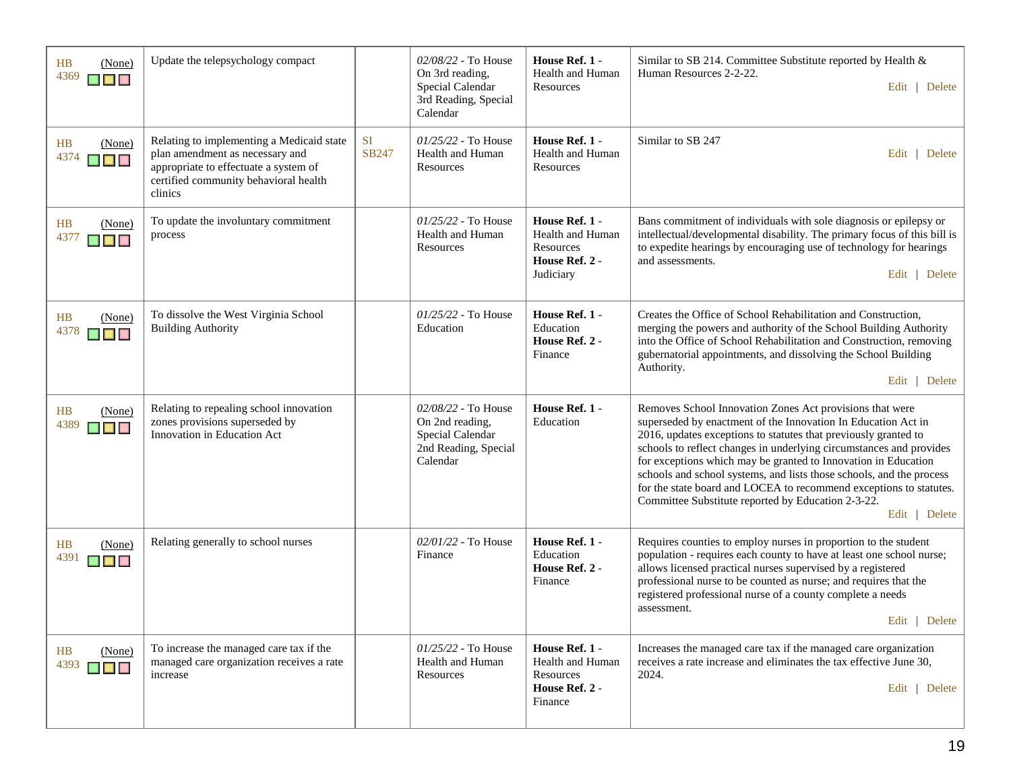| <b>HB</b><br>(None)<br>4369<br>$\blacksquare$                        | Update the telepsychology compact                                                                                                                                         |                    | 02/08/22 - To House<br>On 3rd reading,<br>Special Calendar<br>3rd Reading, Special<br>Calendar | House Ref. 1 -<br>Health and Human<br>Resources                                | Similar to SB 214. Committee Substitute reported by Health &<br>Human Resources 2-2-22.<br>Edit   Delete                                                                                                                                                                                                                                                                                                                                                                                                                                                   |
|----------------------------------------------------------------------|---------------------------------------------------------------------------------------------------------------------------------------------------------------------------|--------------------|------------------------------------------------------------------------------------------------|--------------------------------------------------------------------------------|------------------------------------------------------------------------------------------------------------------------------------------------------------------------------------------------------------------------------------------------------------------------------------------------------------------------------------------------------------------------------------------------------------------------------------------------------------------------------------------------------------------------------------------------------------|
| HB<br>(None)<br>4374<br>$\blacksquare$                               | Relating to implementing a Medicaid state<br>plan amendment as necessary and<br>appropriate to effectuate a system of<br>certified community behavioral health<br>clinics | <b>SI</b><br>SB247 | 01/25/22 - To House<br>Health and Human<br>Resources                                           | House Ref. 1 -<br>Health and Human<br>Resources                                | Similar to SB 247<br>Edit   Delete                                                                                                                                                                                                                                                                                                                                                                                                                                                                                                                         |
| HB<br>(None)<br>4377<br>$\blacksquare$ $\blacksquare$ $\blacksquare$ | To update the involuntary commitment<br>process                                                                                                                           |                    | 01/25/22 - To House<br>Health and Human<br>Resources                                           | House Ref. 1 -<br>Health and Human<br>Resources<br>House Ref. 2 -<br>Judiciary | Bans commitment of individuals with sole diagnosis or epilepsy or<br>intellectual/developmental disability. The primary focus of this bill is<br>to expedite hearings by encouraging use of technology for hearings<br>and assessments.<br>Edit   Delete                                                                                                                                                                                                                                                                                                   |
| HB<br>(None)<br>4378<br>$\blacksquare$ $\blacksquare$                | To dissolve the West Virginia School<br><b>Building Authority</b>                                                                                                         |                    | 01/25/22 - To House<br>Education                                                               | House Ref. 1 -<br>Education<br>House Ref. 2 -<br>Finance                       | Creates the Office of School Rehabilitation and Construction,<br>merging the powers and authority of the School Building Authority<br>into the Office of School Rehabilitation and Construction, removing<br>gubernatorial appointments, and dissolving the School Building<br>Authority.<br>Edit   Delete                                                                                                                                                                                                                                                 |
| HB<br>(None)<br>4389<br>▉▉▉                                          | Relating to repealing school innovation<br>zones provisions superseded by<br>Innovation in Education Act                                                                  |                    | 02/08/22 - To House<br>On 2nd reading,<br>Special Calendar<br>2nd Reading, Special<br>Calendar | House Ref. 1 -<br>Education                                                    | Removes School Innovation Zones Act provisions that were<br>superseded by enactment of the Innovation In Education Act in<br>2016, updates exceptions to statutes that previously granted to<br>schools to reflect changes in underlying circumstances and provides<br>for exceptions which may be granted to Innovation in Education<br>schools and school systems, and lists those schools, and the process<br>for the state board and LOCEA to recommend exceptions to statutes.<br>Committee Substitute reported by Education 2-3-22.<br>Edit   Delete |
| HB<br>(None)<br>4391<br>$\blacksquare$                               | Relating generally to school nurses                                                                                                                                       |                    | 02/01/22 - To House<br>Finance                                                                 | House Ref. 1 -<br>Education<br>House Ref. 2 -<br>Finance                       | Requires counties to employ nurses in proportion to the student<br>population - requires each county to have at least one school nurse;<br>allows licensed practical nurses supervised by a registered<br>professional nurse to be counted as nurse; and requires that the<br>registered professional nurse of a county complete a needs<br>assessment.<br>Edit   Delete                                                                                                                                                                                   |
| HB<br>(None)<br>4393<br>▉▉▉                                          | To increase the managed care tax if the<br>managed care organization receives a rate<br>increase                                                                          |                    | $01/25/22$ - To House<br>Health and Human<br>Resources                                         | House Ref. 1 -<br>Health and Human<br>Resources<br>House Ref. 2 -<br>Finance   | Increases the managed care tax if the managed care organization<br>receives a rate increase and eliminates the tax effective June 30,<br>2024.<br>Edit   Delete                                                                                                                                                                                                                                                                                                                                                                                            |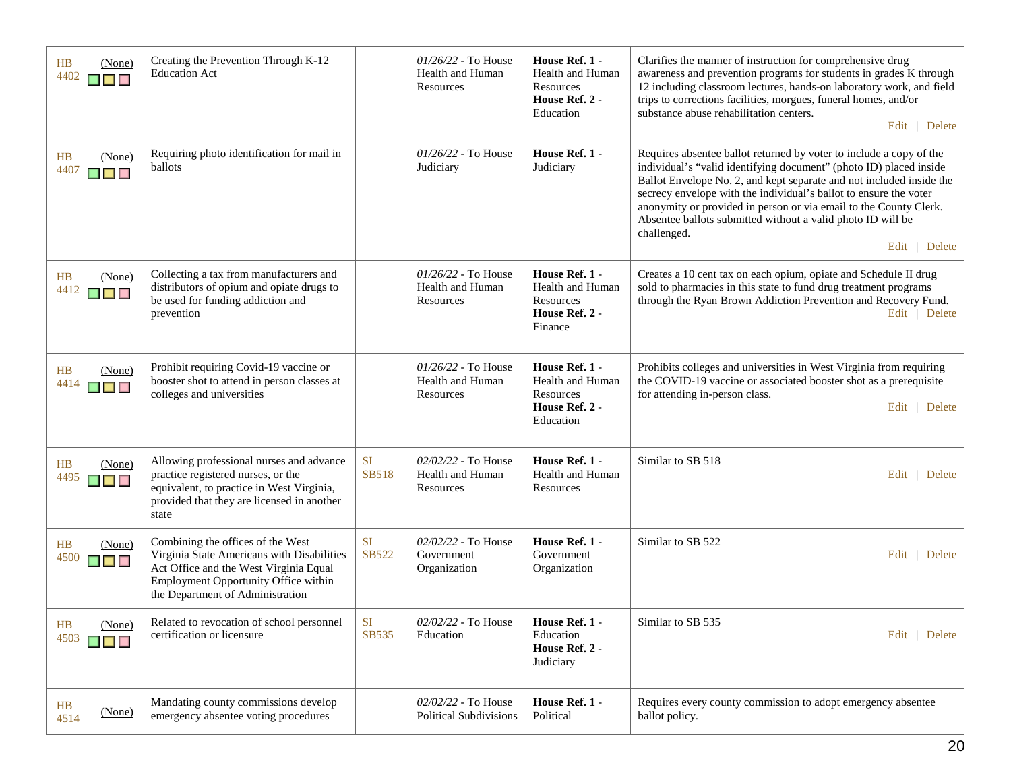| (None)<br><b>HB</b><br>4402<br>▉▉             | Creating the Prevention Through K-12<br><b>Education Act</b>                                                                                                                                          |                           | $01/26/22$ - To House<br><b>Health and Human</b><br>Resources | House Ref. 1 -<br>Health and Human<br>Resources<br>House Ref. 2 -<br>Education               | Clarifies the manner of instruction for comprehensive drug<br>awareness and prevention programs for students in grades K through<br>12 including classroom lectures, hands-on laboratory work, and field<br>trips to corrections facilities, morgues, funeral homes, and/or<br>substance abuse rehabilitation centers.<br>Edit   Delete                                                                                                                    |
|-----------------------------------------------|-------------------------------------------------------------------------------------------------------------------------------------------------------------------------------------------------------|---------------------------|---------------------------------------------------------------|----------------------------------------------------------------------------------------------|------------------------------------------------------------------------------------------------------------------------------------------------------------------------------------------------------------------------------------------------------------------------------------------------------------------------------------------------------------------------------------------------------------------------------------------------------------|
| HB<br>(None)<br>4407<br>▉▉                    | Requiring photo identification for mail in<br>ballots                                                                                                                                                 |                           | $01/26/22$ - To House<br>Judiciary                            | House Ref. 1 -<br>Judiciary                                                                  | Requires absentee ballot returned by voter to include a copy of the<br>individual's "valid identifying document" (photo ID) placed inside<br>Ballot Envelope No. 2, and kept separate and not included inside the<br>secrecy envelope with the individual's ballot to ensure the voter<br>anonymity or provided in person or via email to the County Clerk.<br>Absentee ballots submitted without a valid photo ID will be<br>challenged.<br>Edit   Delete |
| HB<br>(None)<br>4412<br>$\blacksquare$        | Collecting a tax from manufacturers and<br>distributors of opium and opiate drugs to<br>be used for funding addiction and<br>prevention                                                               |                           | $01/26/22$ - To House<br>Health and Human<br>Resources        | House Ref. 1 -<br>Health and Human<br>Resources<br>House Ref. 2 -<br>Finance                 | Creates a 10 cent tax on each opium, opiate and Schedule II drug<br>sold to pharmacies in this state to fund drug treatment programs<br>through the Ryan Brown Addiction Prevention and Recovery Fund.<br>Edit   Delete                                                                                                                                                                                                                                    |
| HB<br>(None)<br>4414<br>▉▉                    | Prohibit requiring Covid-19 vaccine or<br>booster shot to attend in person classes at<br>colleges and universities                                                                                    |                           | $01/26/22$ - To House<br>Health and Human<br>Resources        | House Ref. 1 -<br><b>Health and Human</b><br><b>Resources</b><br>House Ref. 2 -<br>Education | Prohibits colleges and universities in West Virginia from requiring<br>the COVID-19 vaccine or associated booster shot as a prerequisite<br>for attending in-person class.<br>Edit   Delete                                                                                                                                                                                                                                                                |
| HB<br>(None)<br>4495<br>$\blacksquare$        | Allowing professional nurses and advance<br>practice registered nurses, or the<br>equivalent, to practice in West Virginia,<br>provided that they are licensed in another<br>state                    | <b>SI</b><br><b>SB518</b> | 02/02/22 - To House<br>Health and Human<br>Resources          | House Ref. 1 -<br>Health and Human<br>Resources                                              | Similar to SB 518<br>Edit   Delete                                                                                                                                                                                                                                                                                                                                                                                                                         |
| <b>HB</b><br>(None)<br>4500<br>$\blacksquare$ | Combining the offices of the West<br>Virginia State Americans with Disabilities<br>Act Office and the West Virginia Equal<br>Employment Opportunity Office within<br>the Department of Administration | <b>SI</b><br>SB522        | 02/02/22 - To House<br>Government<br>Organization             | House Ref. 1 -<br>Government<br>Organization                                                 | Similar to SB 522<br>Edit   Delete                                                                                                                                                                                                                                                                                                                                                                                                                         |
| HB<br>(None)<br>4503<br><b>K E K</b>          | Related to revocation of school personnel<br>certification or licensure                                                                                                                               | SI<br>SB535               | 02/02/22 - To House<br>Education                              | House Ref. 1<br>Education<br>House Ref. 2 -<br>Judiciary                                     | Similar to SB 535<br>Edit   Delete                                                                                                                                                                                                                                                                                                                                                                                                                         |
| HB<br>(None)<br>4514                          | Mandating county commissions develop<br>emergency absentee voting procedures                                                                                                                          |                           | 02/02/22 - To House<br><b>Political Subdivisions</b>          | House Ref. 1 -<br>Political                                                                  | Requires every county commission to adopt emergency absentee<br>ballot policy.                                                                                                                                                                                                                                                                                                                                                                             |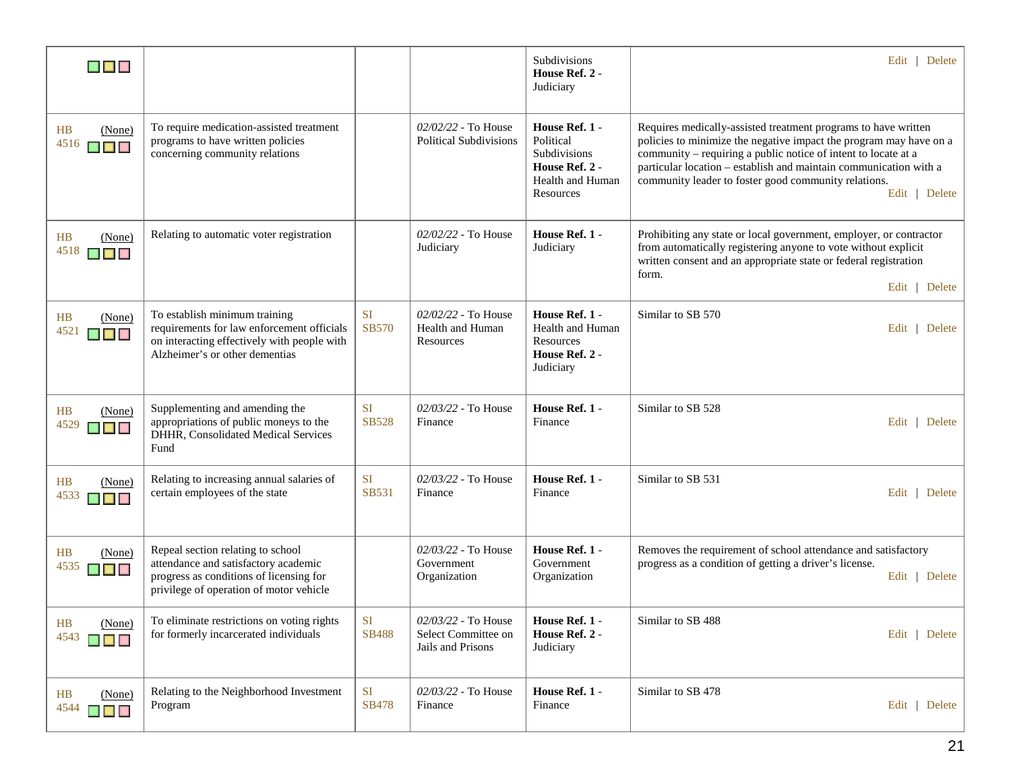| $\blacksquare$ $\blacksquare$                         |                                                                                                                                                                 |                           |                                                                 | Subdivisions<br>House Ref. 2 -<br>Judiciary                                                    | Edit   Delete                                                                                                                                                                                                                                                                                                                                        |
|-------------------------------------------------------|-----------------------------------------------------------------------------------------------------------------------------------------------------------------|---------------------------|-----------------------------------------------------------------|------------------------------------------------------------------------------------------------|------------------------------------------------------------------------------------------------------------------------------------------------------------------------------------------------------------------------------------------------------------------------------------------------------------------------------------------------------|
| HB<br>(None)<br>$4516$ $\Box$                         | To require medication-assisted treatment<br>programs to have written policies<br>concerning community relations                                                 |                           | $02/02/22$ - To House<br><b>Political Subdivisions</b>          | House Ref. 1 -<br>Political<br>Subdivisions<br>House Ref. 2 -<br>Health and Human<br>Resources | Requires medically-assisted treatment programs to have written<br>policies to minimize the negative impact the program may have on a<br>community - requiring a public notice of intent to locate at a<br>particular location - establish and maintain communication with a<br>community leader to foster good community relations.<br>Edit   Delete |
| HB<br>(None)<br>$4518$ $\Box$                         | Relating to automatic voter registration                                                                                                                        |                           | $02/02/22$ - To House<br>Judiciary                              | House Ref. 1 -<br>Judiciary                                                                    | Prohibiting any state or local government, employer, or contractor<br>from automatically registering anyone to vote without explicit<br>written consent and an appropriate state or federal registration<br>form.<br>Edit   Delete                                                                                                                   |
| HB<br>(None)<br>4521<br>$\blacksquare$ $\blacksquare$ | To establish minimum training<br>requirements for law enforcement officials<br>on interacting effectively with people with<br>Alzheimer's or other dementias    | <b>SI</b><br><b>SB570</b> | 02/02/22 - To House<br>Health and Human<br>Resources            | House Ref. 1 -<br>Health and Human<br>Resources<br>House Ref. 2 -<br>Judiciary                 | Similar to SB 570<br>Edit   Delete                                                                                                                                                                                                                                                                                                                   |
| HB<br>(None)<br>4529<br><b>A A A</b>                  | Supplementing and amending the<br>appropriations of public moneys to the<br>DHHR, Consolidated Medical Services<br>Fund                                         | SI<br><b>SB528</b>        | 02/03/22 - To House<br>Finance                                  | House Ref. 1 -<br>Finance                                                                      | Similar to SB 528<br>Edit   Delete                                                                                                                                                                                                                                                                                                                   |
| <b>HB</b><br>(None)<br>4533<br><b>MAR</b>             | Relating to increasing annual salaries of<br>certain employees of the state                                                                                     | <b>SI</b><br>SB531        | 02/03/22 - To House<br>Finance                                  | House Ref. 1 -<br>Finance                                                                      | Similar to SB 531<br>Edit   Delete                                                                                                                                                                                                                                                                                                                   |
| HB<br>(None)<br>$4535$ $\Box$                         | Repeal section relating to school<br>attendance and satisfactory academic<br>progress as conditions of licensing for<br>privilege of operation of motor vehicle |                           | 02/03/22 - To House<br>Government<br>Organization               | House Ref. 1 -<br>Government<br>Organization                                                   | Removes the requirement of school attendance and satisfactory<br>progress as a condition of getting a driver's license.<br>Edit   Delete                                                                                                                                                                                                             |
| (None)<br>HB<br>$4543$ $\Box$                         | To eliminate restrictions on voting rights<br>for formerly incarcerated individuals                                                                             | $\rm SI$<br><b>SB488</b>  | 02/03/22 - To House<br>Select Committee on<br>Jails and Prisons | House Ref. 1 -<br>House Ref. 2 -<br>Judiciary                                                  | Similar to SB 488<br>Edit   Delete                                                                                                                                                                                                                                                                                                                   |
| HB<br>(None)<br>$4544$ $\Box$                         | Relating to the Neighborhood Investment<br>Program                                                                                                              | <b>SI</b><br><b>SB478</b> | 02/03/22 - To House<br>Finance                                  | House Ref. 1 -<br>Finance                                                                      | Similar to SB 478<br>Edit   Delete                                                                                                                                                                                                                                                                                                                   |